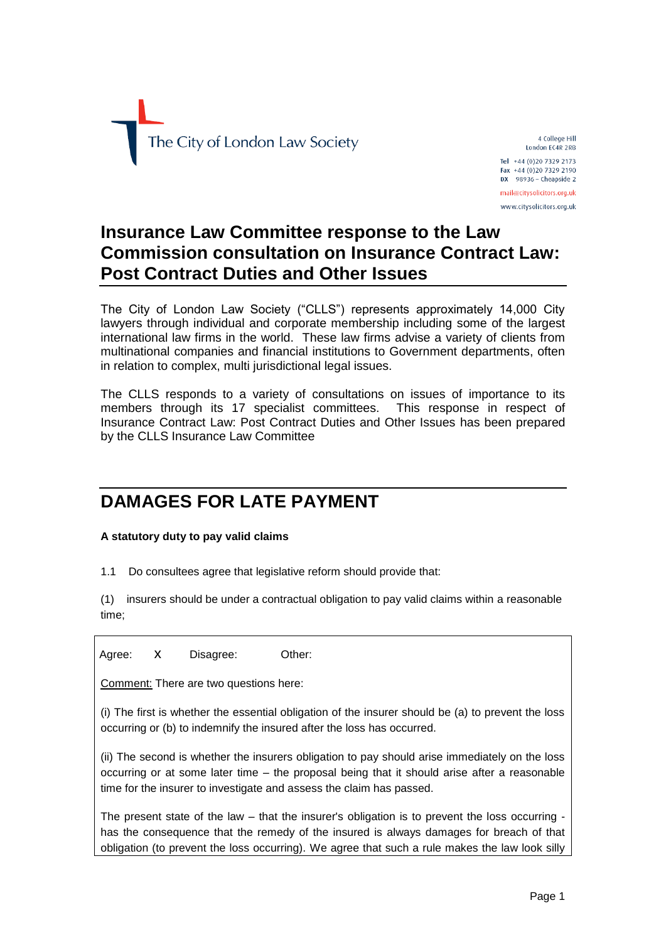

4 College Hill London EC4R 2RB Tel +44 (0)20 7329 2173 Fax +44 (0)20 7329 2190  $DX$  98936 - Cheapside 2 mail@citysolicitors.org.uk

www.citysolicitors.org.uk

# **Insurance Law Committee response to the Law Commission consultation on Insurance Contract Law: Post Contract Duties and Other Issues**

The City of London Law Society ("CLLS") represents approximately 14,000 City lawyers through individual and corporate membership including some of the largest international law firms in the world. These law firms advise a variety of clients from multinational companies and financial institutions to Government departments, often in relation to complex, multi jurisdictional legal issues.

The CLLS responds to a variety of consultations on issues of importance to its members through its 17 specialist committees. This response in respect of Insurance Contract Law: Post Contract Duties and Other Issues has been prepared by the CLLS Insurance Law Committee

# **DAMAGES FOR LATE PAYMENT**

**A statutory duty to pay valid claims**

1.1 Do consultees agree that legislative reform should provide that:

(1) insurers should be under a contractual obligation to pay valid claims within a reasonable time;

Agree: X Disagree: Other:

Comment: There are two questions here:

(i) The first is whether the essential obligation of the insurer should be (a) to prevent the loss occurring or (b) to indemnify the insured after the loss has occurred.

(ii) The second is whether the insurers obligation to pay should arise immediately on the loss occurring or at some later time – the proposal being that it should arise after a reasonable time for the insurer to investigate and assess the claim has passed.

The present state of the law – that the insurer's obligation is to prevent the loss occurring has the consequence that the remedy of the insured is always damages for breach of that obligation (to prevent the loss occurring). We agree that such a rule makes the law look silly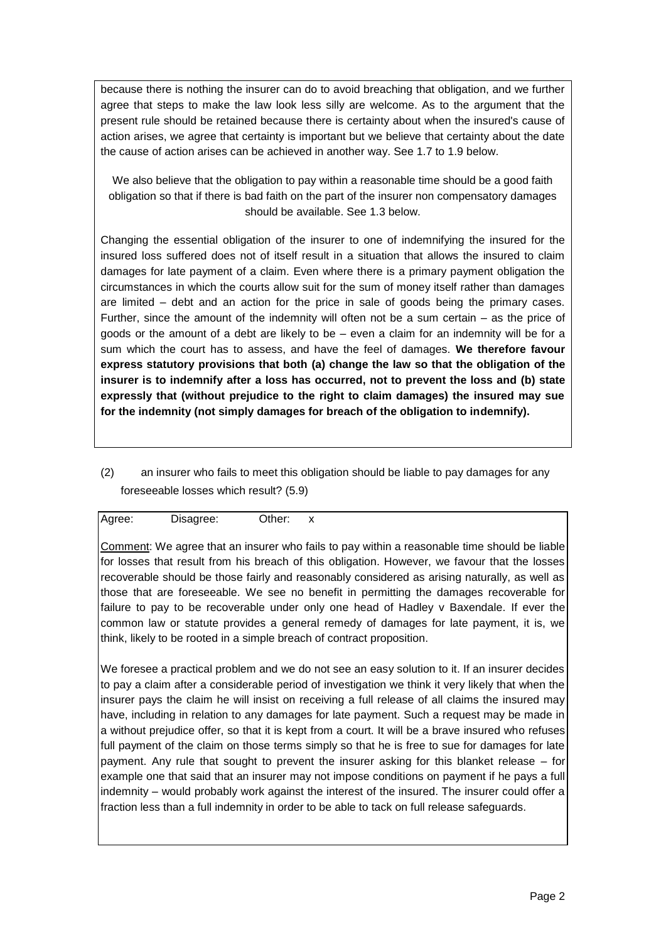because there is nothing the insurer can do to avoid breaching that obligation, and we further agree that steps to make the law look less silly are welcome. As to the argument that the present rule should be retained because there is certainty about when the insured's cause of action arises, we agree that certainty is important but we believe that certainty about the date the cause of action arises can be achieved in another way. See 1.7 to 1.9 below.

We also believe that the obligation to pay within a reasonable time should be a good faith obligation so that if there is bad faith on the part of the insurer non compensatory damages should be available. See 1.3 below.

Changing the essential obligation of the insurer to one of indemnifying the insured for the insured loss suffered does not of itself result in a situation that allows the insured to claim damages for late payment of a claim. Even where there is a primary payment obligation the circumstances in which the courts allow suit for the sum of money itself rather than damages are limited – debt and an action for the price in sale of goods being the primary cases. Further, since the amount of the indemnity will often not be a sum certain – as the price of goods or the amount of a debt are likely to be – even a claim for an indemnity will be for a sum which the court has to assess, and have the feel of damages. **We therefore favour express statutory provisions that both (a) change the law so that the obligation of the insurer is to indemnify after a loss has occurred, not to prevent the loss and (b) state expressly that (without prejudice to the right to claim damages) the insured may sue for the indemnity (not simply damages for breach of the obligation to indemnify).**

(2) an insurer who fails to meet this obligation should be liable to pay damages for any foreseeable losses which result? (5.9)

| Agree: | Disagree: | Other: | v<br>$\lambda$ |
|--------|-----------|--------|----------------|
|        |           |        |                |

Comment: We agree that an insurer who fails to pay within a reasonable time should be liable for losses that result from his breach of this obligation. However, we favour that the losses recoverable should be those fairly and reasonably considered as arising naturally, as well as those that are foreseeable. We see no benefit in permitting the damages recoverable for failure to pay to be recoverable under only one head of Hadley v Baxendale. If ever the common law or statute provides a general remedy of damages for late payment, it is, we think, likely to be rooted in a simple breach of contract proposition.

We foresee a practical problem and we do not see an easy solution to it. If an insurer decides to pay a claim after a considerable period of investigation we think it very likely that when the insurer pays the claim he will insist on receiving a full release of all claims the insured may have, including in relation to any damages for late payment. Such a request may be made in a without prejudice offer, so that it is kept from a court. It will be a brave insured who refuses full payment of the claim on those terms simply so that he is free to sue for damages for late payment. Any rule that sought to prevent the insurer asking for this blanket release – for example one that said that an insurer may not impose conditions on payment if he pays a full indemnity – would probably work against the interest of the insured. The insurer could offer a fraction less than a full indemnity in order to be able to tack on full release safeguards.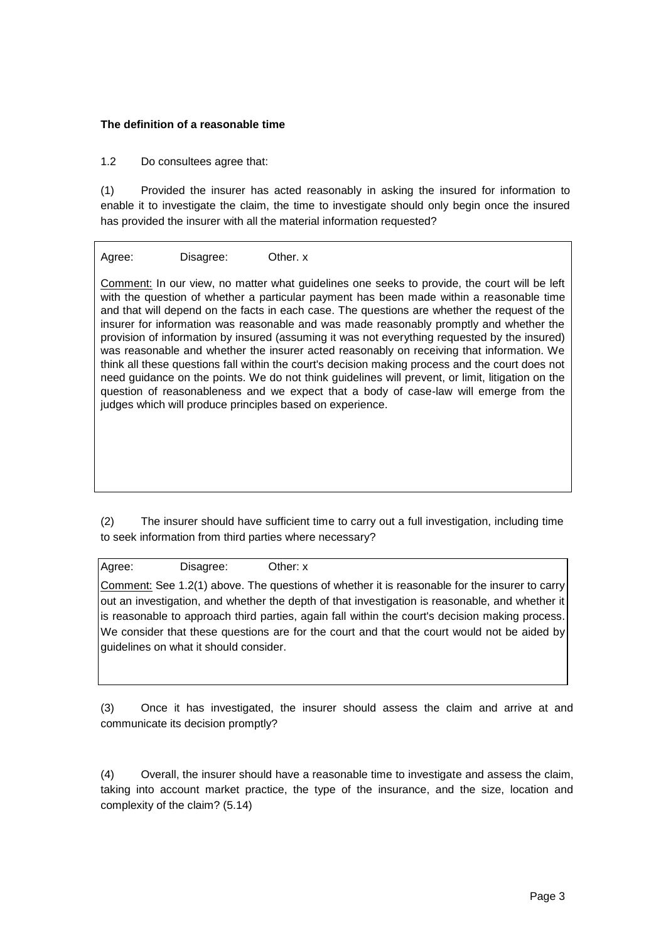#### **The definition of a reasonable time**

1.2 Do consultees agree that:

(1) Provided the insurer has acted reasonably in asking the insured for information to enable it to investigate the claim, the time to investigate should only begin once the insured has provided the insurer with all the material information requested?

Agree: Disagree: Other. x

Comment: In our view, no matter what guidelines one seeks to provide, the court will be left with the question of whether a particular payment has been made within a reasonable time and that will depend on the facts in each case. The questions are whether the request of the insurer for information was reasonable and was made reasonably promptly and whether the provision of information by insured (assuming it was not everything requested by the insured) was reasonable and whether the insurer acted reasonably on receiving that information. We think all these questions fall within the court's decision making process and the court does not need guidance on the points. We do not think guidelines will prevent, or limit, litigation on the question of reasonableness and we expect that a body of case-law will emerge from the judges which will produce principles based on experience.

(2) The insurer should have sufficient time to carry out a full investigation, including time to seek information from third parties where necessary?

Agree: Disagree: Other: x

Comment: See 1.2(1) above. The questions of whether it is reasonable for the insurer to carry out an investigation, and whether the depth of that investigation is reasonable, and whether it is reasonable to approach third parties, again fall within the court's decision making process. We consider that these questions are for the court and that the court would not be aided by guidelines on what it should consider.

(3) Once it has investigated, the insurer should assess the claim and arrive at and communicate its decision promptly?

(4) Overall, the insurer should have a reasonable time to investigate and assess the claim, taking into account market practice, the type of the insurance, and the size, location and complexity of the claim? (5.14)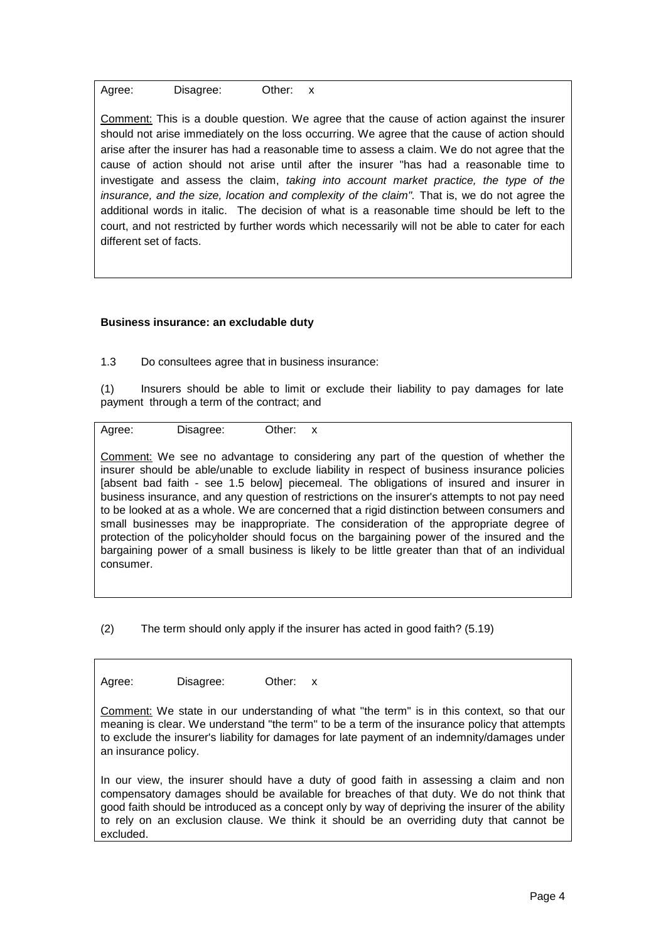Agree: Disagree: Other: x

Comment: This is a double question. We agree that the cause of action against the insurer should not arise immediately on the loss occurring. We agree that the cause of action should arise after the insurer has had a reasonable time to assess a claim. We do not agree that the cause of action should not arise until after the insurer "has had a reasonable time to investigate and assess the claim, *taking into account market practice, the type of the insurance, and the size, location and complexity of the claim"*. That is, we do not agree the additional words in italic. The decision of what is a reasonable time should be left to the court, and not restricted by further words which necessarily will not be able to cater for each different set of facts.

#### **Business insurance: an excludable duty**

1.3 Do consultees agree that in business insurance:

(1) Insurers should be able to limit or exclude their liability to pay damages for late payment through a term of the contract; and

Agree: Disagree: Other: x

Comment: We see no advantage to considering any part of the question of whether the insurer should be able/unable to exclude liability in respect of business insurance policies [absent bad faith - see 1.5 below] piecemeal. The obligations of insured and insurer in business insurance, and any question of restrictions on the insurer's attempts to not pay need to be looked at as a whole. We are concerned that a rigid distinction between consumers and small businesses may be inappropriate. The consideration of the appropriate degree of protection of the policyholder should focus on the bargaining power of the insured and the bargaining power of a small business is likely to be little greater than that of an individual consumer.

(2) The term should only apply if the insurer has acted in good faith? (5.19)

Agree: Disagree: Other: x

Comment: We state in our understanding of what "the term" is in this context, so that our meaning is clear. We understand "the term" to be a term of the insurance policy that attempts to exclude the insurer's liability for damages for late payment of an indemnity/damages under an insurance policy.

In our view, the insurer should have a duty of good faith in assessing a claim and non compensatory damages should be available for breaches of that duty. We do not think that good faith should be introduced as a concept only by way of depriving the insurer of the ability to rely on an exclusion clause. We think it should be an overriding duty that cannot be excluded.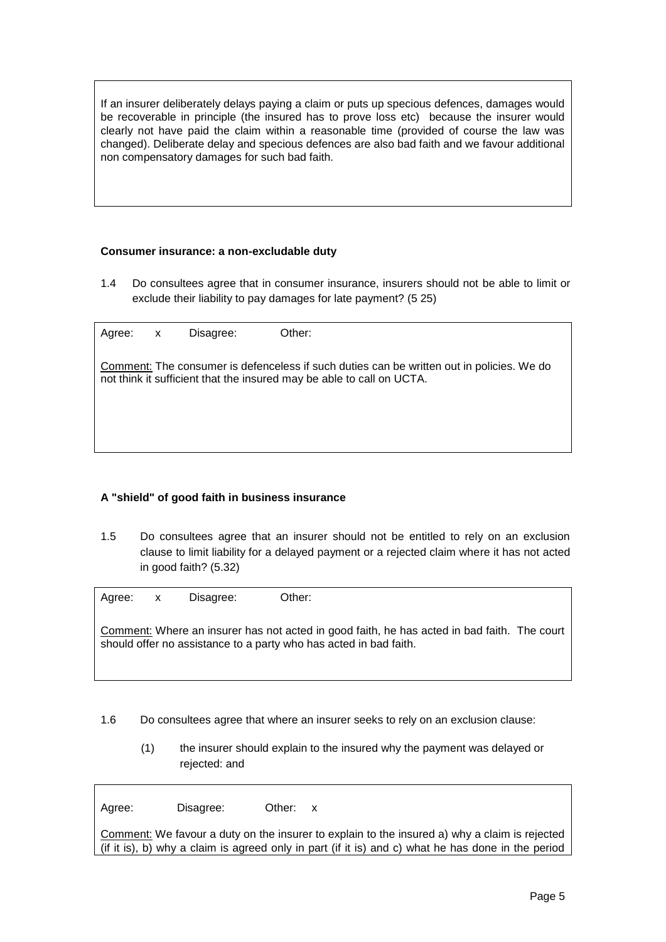If an insurer deliberately delays paying a claim or puts up specious defences, damages would be recoverable in principle (the insured has to prove loss etc) because the insurer would clearly not have paid the claim within a reasonable time (provided of course the law was changed). Deliberate delay and specious defences are also bad faith and we favour additional non compensatory damages for such bad faith.

#### **Consumer insurance: a non-excludable duty**

1.4 Do consultees agree that in consumer insurance, insurers should not be able to limit or exclude their liability to pay damages for late payment? (5 25)

| Agree: | $\mathsf{X}$ | Disagree: | Other:                                                                                                                                                             |
|--------|--------------|-----------|--------------------------------------------------------------------------------------------------------------------------------------------------------------------|
|        |              |           | Comment: The consumer is defenceless if such duties can be written out in policies. We do<br>not think it sufficient that the insured may be able to call on UCTA. |
|        |              |           |                                                                                                                                                                    |
|        |              |           |                                                                                                                                                                    |

#### **A "shield" of good faith in business insurance**

1.5 Do consultees agree that an insurer should not be entitled to rely on an exclusion clause to limit liability for a delayed payment or a rejected claim where it has not acted in good faith? (5.32)

| Agree: x | Disagree: | Other:                                                                                                                                                           |
|----------|-----------|------------------------------------------------------------------------------------------------------------------------------------------------------------------|
|          |           | Comment: Where an insurer has not acted in good faith, he has acted in bad faith. The court<br>should offer no assistance to a party who has acted in bad faith. |

- 1.6 Do consultees agree that where an insurer seeks to rely on an exclusion clause:
	- (1) the insurer should explain to the insured why the payment was delayed or rejected: and

Agree: Disagree: Other: x

Comment: We favour a duty on the insurer to explain to the insured a) why a claim is rejected (if it is), b) why a claim is agreed only in part (if it is) and c) what he has done in the period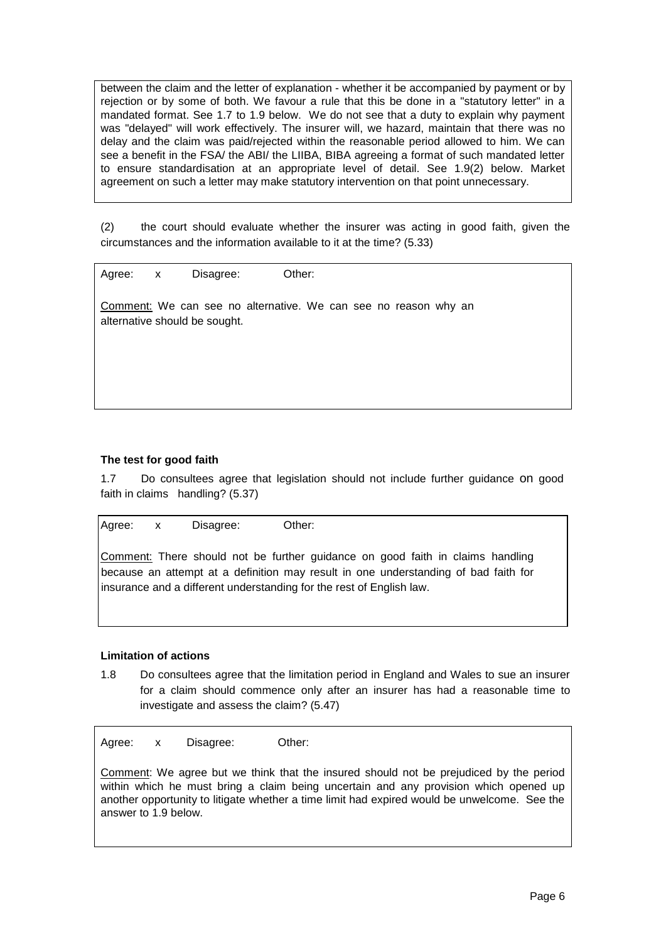between the claim and the letter of explanation - whether it be accompanied by payment or by rejection or by some of both. We favour a rule that this be done in a "statutory letter" in a mandated format. See 1.7 to 1.9 below. We do not see that a duty to explain why payment was "delayed" will work effectively. The insurer will, we hazard, maintain that there was no delay and the claim was paid/rejected within the reasonable period allowed to him. We can see a benefit in the FSA/ the ABI/ the LIIBA, BIBA agreeing a format of such mandated letter to ensure standardisation at an appropriate level of detail. See 1.9(2) below. Market agreement on such a letter may make statutory intervention on that point unnecessary.

(2) the court should evaluate whether the insurer was acting in good faith, given the circumstances and the information available to it at the time? (5.33)

Agree: x Disagree: Other:

Comment: We can see no alternative. We can see no reason why an alternative should be sought.

#### **The test for good faith**

1.7 Do consultees agree that legislation should not include further guidance on good faith in claims handling? (5.37)

Agree: x Disagree: Other: Comment: There should not be further guidance on good faith in claims handling because an attempt at a definition may result in one understanding of bad faith for

insurance and a different understanding for the rest of English law.

#### **Limitation of actions**

1.8 Do consultees agree that the limitation period in England and Wales to sue an insurer for a claim should commence only after an insurer has had a reasonable time to investigate and assess the claim? (5.47)

Agree: x Disagree: Other:

Comment: We agree but we think that the insured should not be prejudiced by the period within which he must bring a claim being uncertain and any provision which opened up another opportunity to litigate whether a time limit had expired would be unwelcome. See the answer to 1.9 below.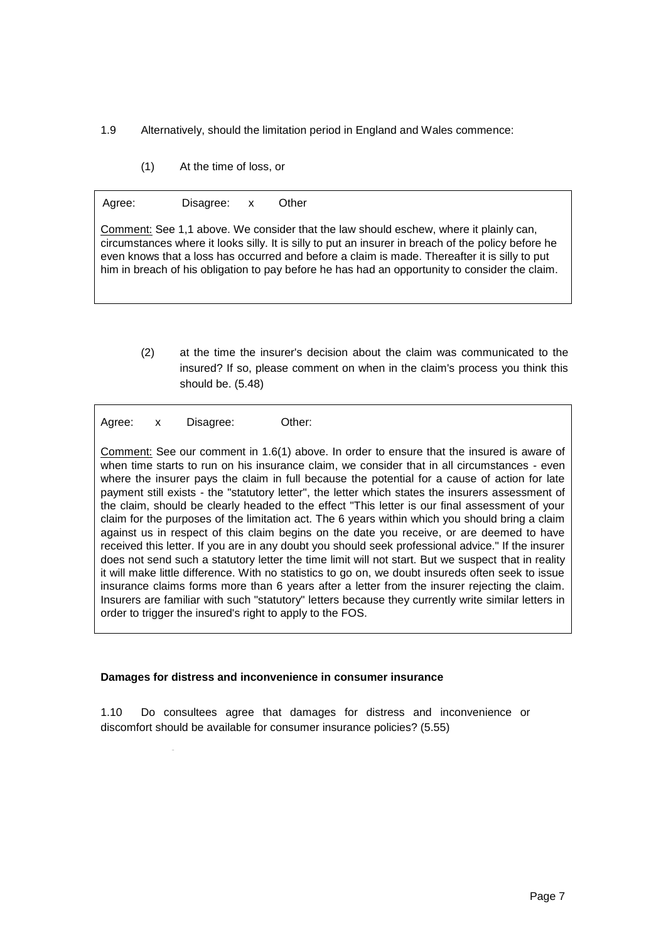1.9 Alternatively, should the limitation period in England and Wales commence:

(1) At the time of loss, or

| Agree: | Disagree: x | Other                                                                                                                                                                                                                                                                                                                                                                                           |
|--------|-------------|-------------------------------------------------------------------------------------------------------------------------------------------------------------------------------------------------------------------------------------------------------------------------------------------------------------------------------------------------------------------------------------------------|
|        |             | Comment: See 1,1 above. We consider that the law should eschew, where it plainly can,<br>circumstances where it looks silly. It is silly to put an insurer in breach of the policy before he<br>even knows that a loss has occurred and before a claim is made. Thereafter it is silly to put<br>him in breach of his obligation to pay before he has had an opportunity to consider the claim. |

(2) at the time the insurer's decision about the claim was communicated to the insured? If so, please comment on when in the claim's process you think this should be. (5.48)

Agree: x Disagree: Other:

Comment: See our comment in 1.6(1) above. In order to ensure that the insured is aware of when time starts to run on his insurance claim, we consider that in all circumstances - even where the insurer pays the claim in full because the potential for a cause of action for late payment still exists - the "statutory letter", the letter which states the insurers assessment of the claim, should be clearly headed to the effect "This letter is our final assessment of your claim for the purposes of the limitation act. The 6 years within which you should bring a claim against us in respect of this claim begins on the date you receive, or are deemed to have received this letter. If you are in any doubt you should seek professional advice." If the insurer does not send such a statutory letter the time limit will not start. But we suspect that in reality it will make little difference. With no statistics to go on, we doubt insureds often seek to issue insurance claims forms more than 6 years after a letter from the insurer rejecting the claim. Insurers are familiar with such "statutory" letters because they currently write similar letters in order to trigger the insured's right to apply to the FOS.

#### **Damages for distress and inconvenience in consumer insurance**

1.10 Do consultees agree that damages for distress and inconvenience or discomfort should be available for consumer insurance policies? (5.55)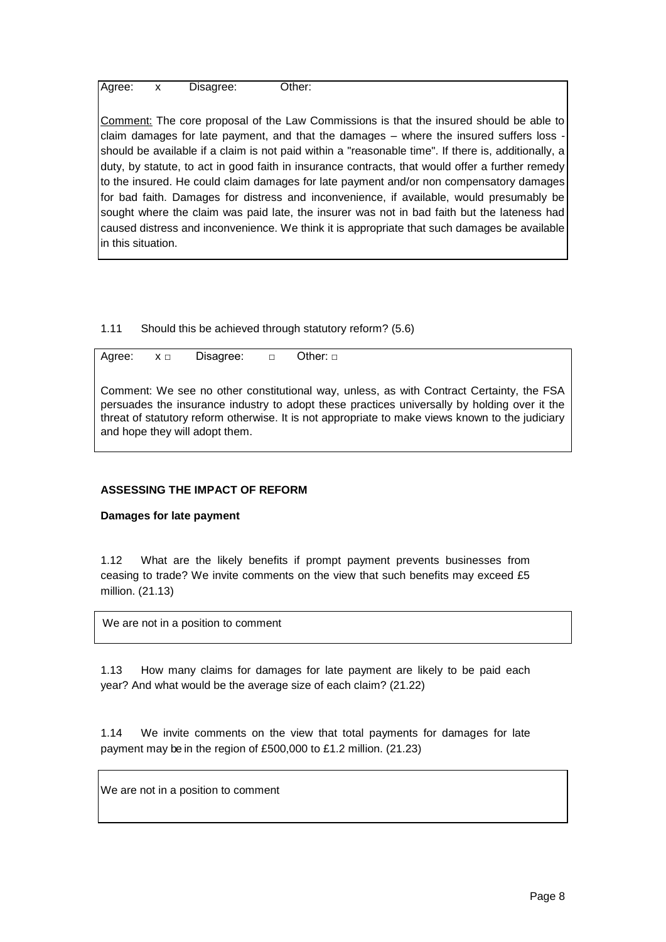Agree: x Disagree: Other:

Comment: The core proposal of the Law Commissions is that the insured should be able to claim damages for late payment, and that the damages  $-$  where the insured suffers loss  $\cdot$ should be available if a claim is not paid within a "reasonable time". If there is, additionally, a duty, by statute, to act in good faith in insurance contracts, that would offer a further remedy to the insured. He could claim damages for late payment and/or non compensatory damages for bad faith. Damages for distress and inconvenience, if available, would presumably be sought where the claim was paid late, the insurer was not in bad faith but the lateness had caused distress and inconvenience. We think it is appropriate that such damages be available in this situation.

1.11 Should this be achieved through statutory reform? (5.6)

Agree:  $x \Box$  Disagree: □ Other: □

Comment: We see no other constitutional way, unless, as with Contract Certainty, the FSA persuades the insurance industry to adopt these practices universally by holding over it the threat of statutory reform otherwise. It is not appropriate to make views known to the judiciary and hope they will adopt them.

### **ASSESSING THE IMPACT OF REFORM**

#### **Damages for late payment**

1.12 What are the likely benefits if prompt payment prevents businesses from ceasing to trade? We invite comments on the view that such benefits may exceed £5 million. (21.13)

We are not in a position to comment

1.13 How many claims for damages for late payment are likely to be paid each year? And what would be the average size of each claim? (21.22)

1.14 We invite comments on the view that total payments for damages for late payment may be in the region of £500,000 to £1.2 million. (21.23)

We are not in a position to comment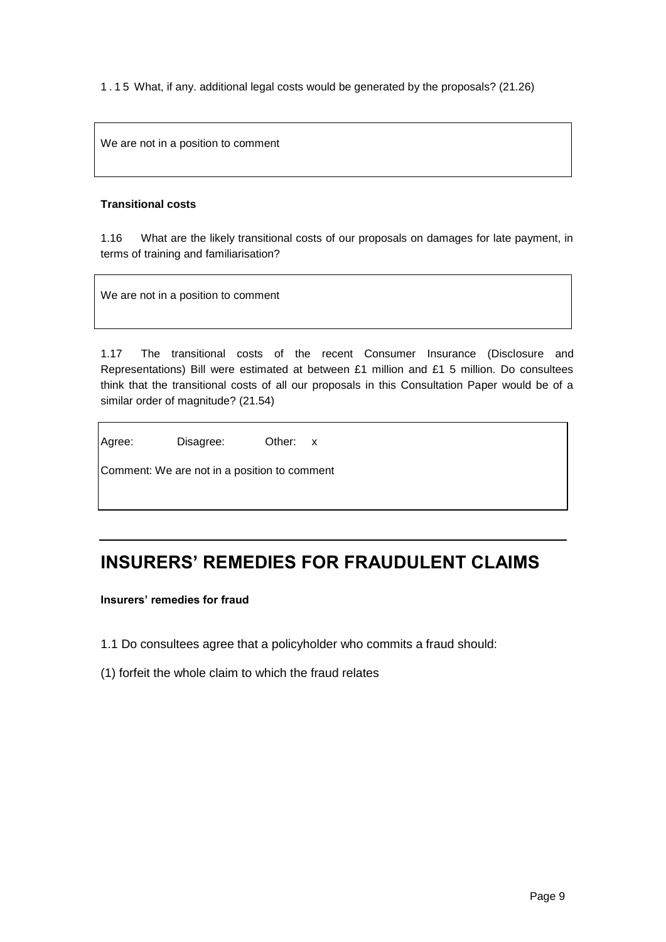1.15 What, if any. additional legal costs would be generated by the proposals? (21.26)

We are not in a position to comment

#### **Transitional costs**

1.16 What are the likely transitional costs of our proposals on damages for late payment, in terms of training and familiarisation?

We are not in a position to comment

1.17 The transitional costs of the recent Consumer Insurance (Disclosure and Representations) Bill were estimated at between £1 million and £1 5 million. Do consultees think that the transitional costs of all our proposals in this Consultation Paper would be of a similar order of magnitude? (21.54)

| Agree: | Disagree: | Other: x |  |
|--------|-----------|----------|--|

| Comment: We are not in a position to comment |  |  |  |  |
|----------------------------------------------|--|--|--|--|
|                                              |  |  |  |  |

# **INSURERS' REMEDIES FOR FRAUDULENT CLAIMS**

**Insurers' remedies for fraud**

- 1.1 Do consultees agree that a policyholder who commits a fraud should:
- (1) forfeit the whole claim to which the fraud relates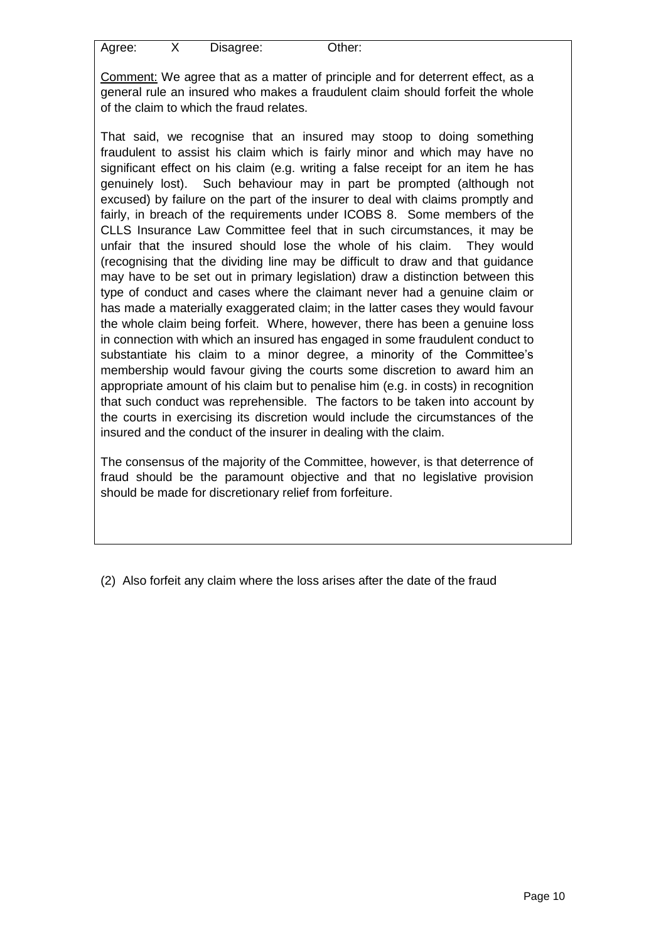| Agree: | Disagree: | Other: |
|--------|-----------|--------|
|        |           |        |

Comment: We agree that as a matter of principle and for deterrent effect, as a general rule an insured who makes a fraudulent claim should forfeit the whole of the claim to which the fraud relates.

That said, we recognise that an insured may stoop to doing something fraudulent to assist his claim which is fairly minor and which may have no significant effect on his claim (e.g. writing a false receipt for an item he has genuinely lost). Such behaviour may in part be prompted (although not excused) by failure on the part of the insurer to deal with claims promptly and fairly, in breach of the requirements under ICOBS 8. Some members of the CLLS Insurance Law Committee feel that in such circumstances, it may be unfair that the insured should lose the whole of his claim. They would (recognising that the dividing line may be difficult to draw and that guidance may have to be set out in primary legislation) draw a distinction between this type of conduct and cases where the claimant never had a genuine claim or has made a materially exaggerated claim; in the latter cases they would favour the whole claim being forfeit. Where, however, there has been a genuine loss in connection with which an insured has engaged in some fraudulent conduct to substantiate his claim to a minor degree, a minority of the Committee's membership would favour giving the courts some discretion to award him an appropriate amount of his claim but to penalise him (e.g. in costs) in recognition that such conduct was reprehensible. The factors to be taken into account by the courts in exercising its discretion would include the circumstances of the insured and the conduct of the insurer in dealing with the claim.

The consensus of the majority of the Committee, however, is that deterrence of fraud should be the paramount objective and that no legislative provision should be made for discretionary relief from forfeiture.

(2) Also forfeit any claim where the loss arises after the date of the fraud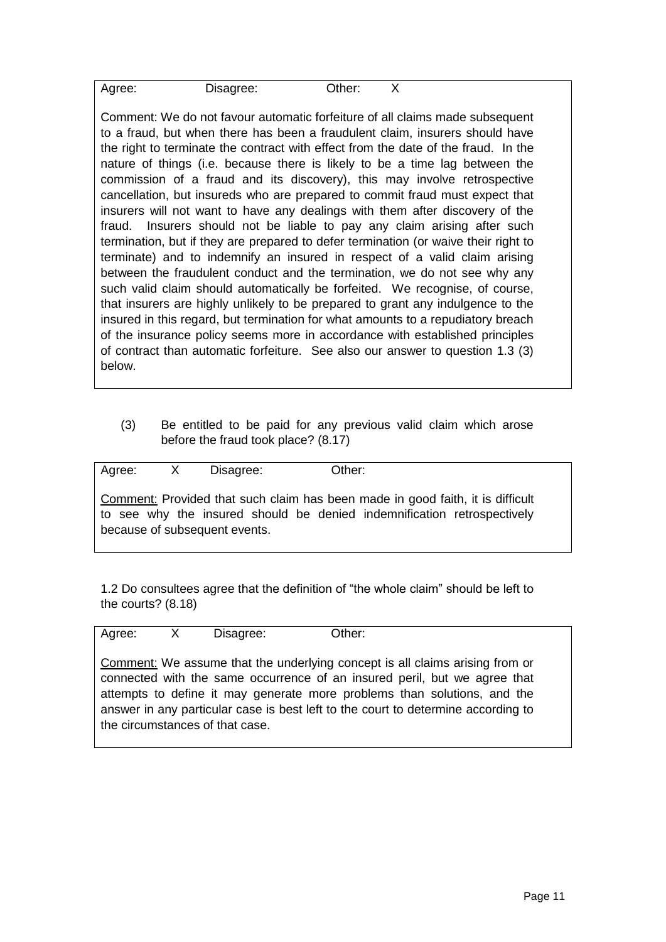| Agree: | Disagree: | Other: |  |
|--------|-----------|--------|--|
|        |           |        |  |

Comment: We do not favour automatic forfeiture of all claims made subsequent to a fraud, but when there has been a fraudulent claim, insurers should have the right to terminate the contract with effect from the date of the fraud. In the nature of things (i.e. because there is likely to be a time lag between the commission of a fraud and its discovery), this may involve retrospective cancellation, but insureds who are prepared to commit fraud must expect that insurers will not want to have any dealings with them after discovery of the fraud. Insurers should not be liable to pay any claim arising after such termination, but if they are prepared to defer termination (or waive their right to terminate) and to indemnify an insured in respect of a valid claim arising between the fraudulent conduct and the termination, we do not see why any such valid claim should automatically be forfeited. We recognise, of course, that insurers are highly unlikely to be prepared to grant any indulgence to the insured in this regard, but termination for what amounts to a repudiatory breach of the insurance policy seems more in accordance with established principles of contract than automatic forfeiture. See also our answer to question 1.3 (3) below.

(3) Be entitled to be paid for any previous valid claim which arose before the fraud took place? (8.17)

| Agree:                   |                          |   | Disagree: |  |  | Other: |  |  |   |     |  |
|--------------------------|--------------------------|---|-----------|--|--|--------|--|--|---|-----|--|
| $\overline{\phantom{a}}$ | $\overline{\phantom{0}}$ | . |           |  |  |        |  |  | . | . . |  |

Comment: Provided that such claim has been made in good faith, it is difficult to see why the insured should be denied indemnification retrospectively because of subsequent events.

1.2 Do consultees agree that the definition of "the whole claim" should be left to the courts? (8.18)

Agree: X Disagree: Other:

Comment: We assume that the underlying concept is all claims arising from or connected with the same occurrence of an insured peril, but we agree that attempts to define it may generate more problems than solutions, and the answer in any particular case is best left to the court to determine according to the circumstances of that case.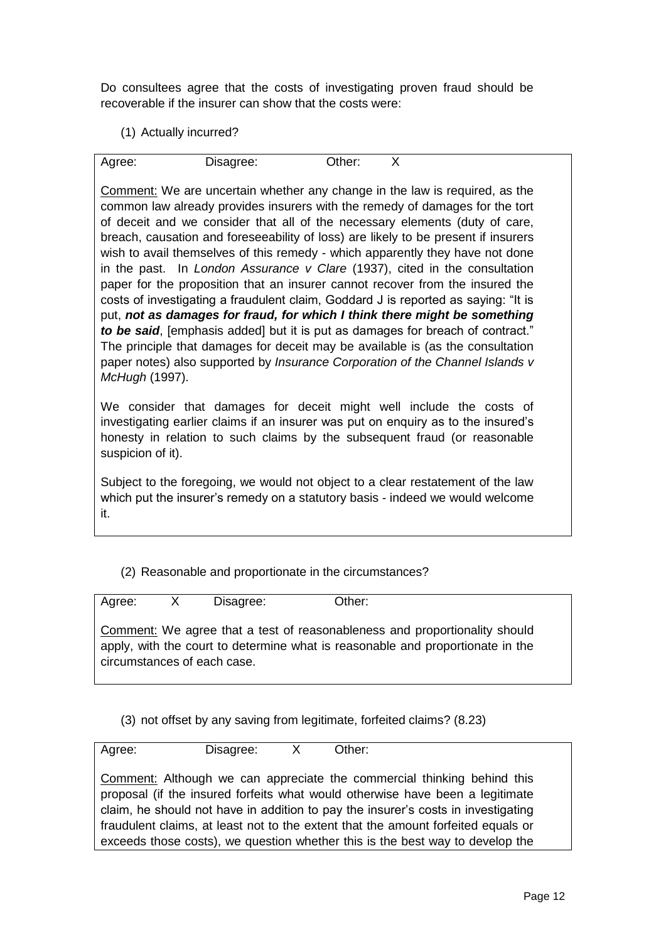Do consultees agree that the costs of investigating proven fraud should be recoverable if the insurer can show that the costs were:

(1) Actually incurred?

Agree: Disagree: Other: X

Comment: We are uncertain whether any change in the law is required, as the common law already provides insurers with the remedy of damages for the tort of deceit and we consider that all of the necessary elements (duty of care, breach, causation and foreseeability of loss) are likely to be present if insurers wish to avail themselves of this remedy - which apparently they have not done in the past. In *London Assurance v Clare* (1937), cited in the consultation paper for the proposition that an insurer cannot recover from the insured the costs of investigating a fraudulent claim, Goddard J is reported as saying: "It is put, *not as damages for fraud, for which I think there might be something to be said*, [emphasis added] but it is put as damages for breach of contract." The principle that damages for deceit may be available is (as the consultation paper notes) also supported by *Insurance Corporation of the Channel Islands v McHugh* (1997).

We consider that damages for deceit might well include the costs of investigating earlier claims if an insurer was put on enquiry as to the insured's honesty in relation to such claims by the subsequent fraud (or reasonable suspicion of it).

Subject to the foregoing, we would not object to a clear restatement of the law which put the insurer's remedy on a statutory basis - indeed we would welcome it.

## (2) Reasonable and proportionate in the circumstances?

| Agree: | $\mathsf{X}$ | Disagree:                   | Other:                                                                                                                                                       |
|--------|--------------|-----------------------------|--------------------------------------------------------------------------------------------------------------------------------------------------------------|
|        |              | circumstances of each case. | Comment: We agree that a test of reasonableness and proportionality should<br>apply, with the court to determine what is reasonable and proportionate in the |

(3) not offset by any saving from legitimate, forfeited claims? (8.23)

Agree: Disagree: X Other: Comment: Although we can appreciate the commercial thinking behind this proposal (if the insured forfeits what would otherwise have been a legitimate claim, he should not have in addition to pay the insurer's costs in investigating fraudulent claims, at least not to the extent that the amount forfeited equals or exceeds those costs), we question whether this is the best way to develop the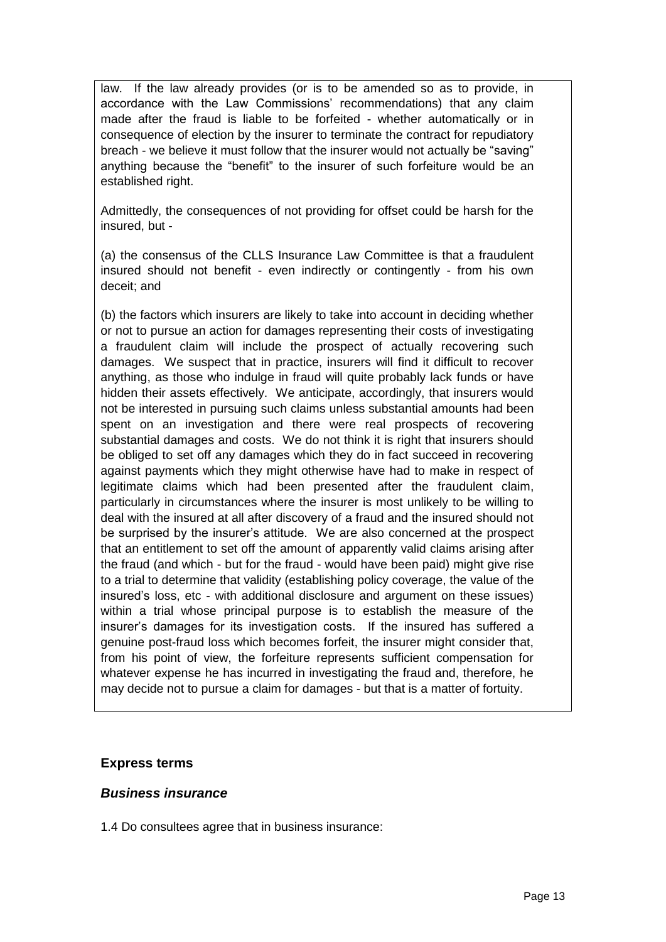law. If the law already provides (or is to be amended so as to provide, in accordance with the Law Commissions' recommendations) that any claim made after the fraud is liable to be forfeited - whether automatically or in consequence of election by the insurer to terminate the contract for repudiatory breach - we believe it must follow that the insurer would not actually be "saving" anything because the "benefit" to the insurer of such forfeiture would be an established right.

Admittedly, the consequences of not providing for offset could be harsh for the insured, but -

(a) the consensus of the CLLS Insurance Law Committee is that a fraudulent insured should not benefit - even indirectly or contingently - from his own deceit; and

(b) the factors which insurers are likely to take into account in deciding whether or not to pursue an action for damages representing their costs of investigating a fraudulent claim will include the prospect of actually recovering such damages. We suspect that in practice, insurers will find it difficult to recover anything, as those who indulge in fraud will quite probably lack funds or have hidden their assets effectively. We anticipate, accordingly, that insurers would not be interested in pursuing such claims unless substantial amounts had been spent on an investigation and there were real prospects of recovering substantial damages and costs. We do not think it is right that insurers should be obliged to set off any damages which they do in fact succeed in recovering against payments which they might otherwise have had to make in respect of legitimate claims which had been presented after the fraudulent claim, particularly in circumstances where the insurer is most unlikely to be willing to deal with the insured at all after discovery of a fraud and the insured should not be surprised by the insurer's attitude. We are also concerned at the prospect that an entitlement to set off the amount of apparently valid claims arising after the fraud (and which - but for the fraud - would have been paid) might give rise to a trial to determine that validity (establishing policy coverage, the value of the insured's loss, etc - with additional disclosure and argument on these issues) within a trial whose principal purpose is to establish the measure of the insurer's damages for its investigation costs. If the insured has suffered a genuine post-fraud loss which becomes forfeit, the insurer might consider that, from his point of view, the forfeiture represents sufficient compensation for whatever expense he has incurred in investigating the fraud and, therefore, he may decide not to pursue a claim for damages - but that is a matter of fortuity.

## **Express terms**

### *Business insurance*

1.4 Do consultees agree that in business insurance: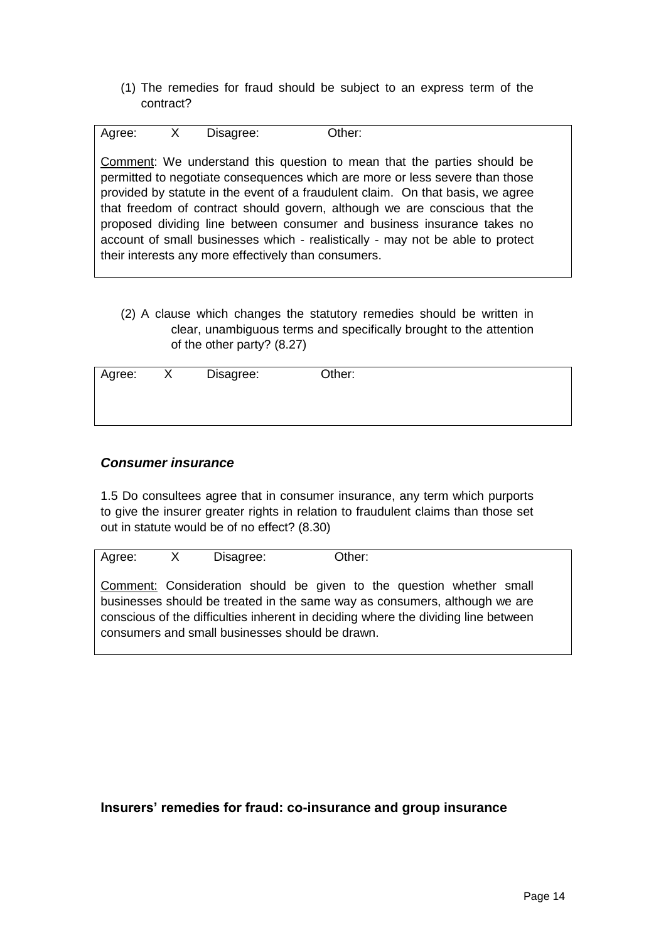(1) The remedies for fraud should be subject to an express term of the contract?

| Agree: X | Disagree: | Other:                                                                                                                                                                                                                                                                                                                                                                                                                                                                                                                                        |
|----------|-----------|-----------------------------------------------------------------------------------------------------------------------------------------------------------------------------------------------------------------------------------------------------------------------------------------------------------------------------------------------------------------------------------------------------------------------------------------------------------------------------------------------------------------------------------------------|
|          |           | Comment: We understand this question to mean that the parties should be<br>permitted to negotiate consequences which are more or less severe than those<br>provided by statute in the event of a fraudulent claim. On that basis, we agree<br>that freedom of contract should govern, although we are conscious that the<br>proposed dividing line between consumer and business insurance takes no<br>account of small businesses which - realistically - may not be able to protect<br>their interests any more effectively than consumers. |

(2) A clause which changes the statutory remedies should be written in clear, unambiguous terms and specifically brought to the attention of the other party? (8.27)

| Agree: | Disagree: | Other: |  |
|--------|-----------|--------|--|
|        |           |        |  |

## *Consumer insurance*

1.5 Do consultees agree that in consumer insurance, any term which purports to give the insurer greater rights in relation to fraudulent claims than those set out in statute would be of no effect? (8.30)

Agree: X Disagree: Other:

Comment: Consideration should be given to the question whether small businesses should be treated in the same way as consumers, although we are conscious of the difficulties inherent in deciding where the dividing line between consumers and small businesses should be drawn.

## **Insurers' remedies for fraud: co-insurance and group insurance**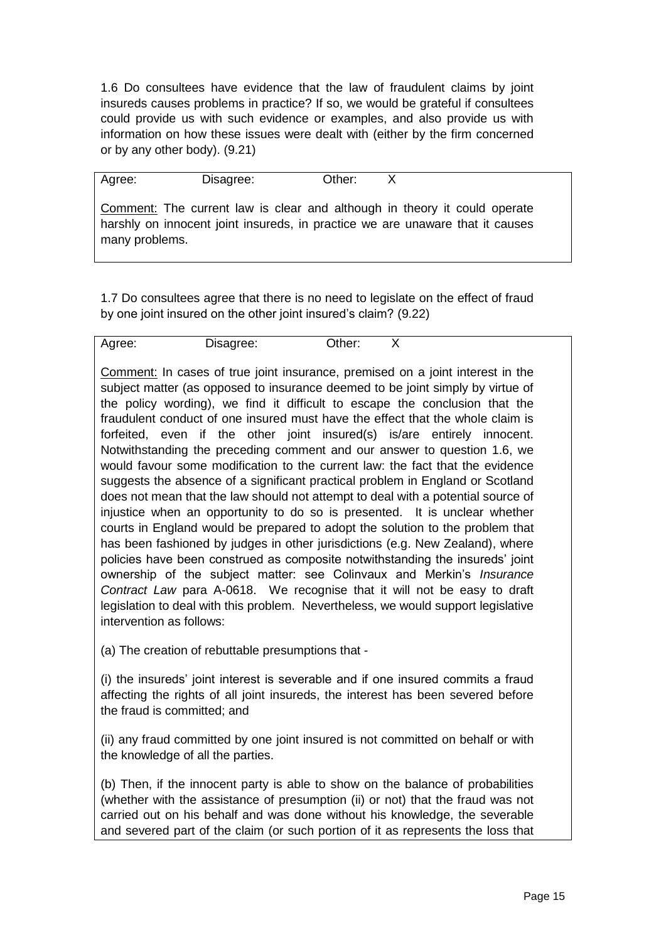1.6 Do consultees have evidence that the law of fraudulent claims by joint insureds causes problems in practice? If so, we would be grateful if consultees could provide us with such evidence or examples, and also provide us with information on how these issues were dealt with (either by the firm concerned or by any other body). (9.21)

| Agree:         | Disagree: | Other: | X                                                                                                                                                          |
|----------------|-----------|--------|------------------------------------------------------------------------------------------------------------------------------------------------------------|
| many problems. |           |        | Comment: The current law is clear and although in theory it could operate<br>harshly on innocent joint insureds, in practice we are unaware that it causes |

1.7 Do consultees agree that there is no need to legislate on the effect of fraud by one joint insured on the other joint insured's claim? (9.22)

| :Jther<br>Disagree: | Agree: |
|---------------------|--------|
|---------------------|--------|

Comment: In cases of true joint insurance, premised on a joint interest in the subject matter (as opposed to insurance deemed to be joint simply by virtue of the policy wording), we find it difficult to escape the conclusion that the fraudulent conduct of one insured must have the effect that the whole claim is forfeited, even if the other joint insured(s) is/are entirely innocent. Notwithstanding the preceding comment and our answer to question 1.6, we would favour some modification to the current law: the fact that the evidence suggests the absence of a significant practical problem in England or Scotland does not mean that the law should not attempt to deal with a potential source of injustice when an opportunity to do so is presented. It is unclear whether courts in England would be prepared to adopt the solution to the problem that has been fashioned by judges in other jurisdictions (e.g. New Zealand), where policies have been construed as composite notwithstanding the insureds' joint ownership of the subject matter: see Colinvaux and Merkin's *Insurance Contract Law* para A-0618. We recognise that it will not be easy to draft legislation to deal with this problem. Nevertheless, we would support legislative intervention as follows:

(a) The creation of rebuttable presumptions that -

(i) the insureds' joint interest is severable and if one insured commits a fraud affecting the rights of all joint insureds, the interest has been severed before the fraud is committed; and

(ii) any fraud committed by one joint insured is not committed on behalf or with the knowledge of all the parties.

(b) Then, if the innocent party is able to show on the balance of probabilities (whether with the assistance of presumption (ii) or not) that the fraud was not carried out on his behalf and was done without his knowledge, the severable and severed part of the claim (or such portion of it as represents the loss that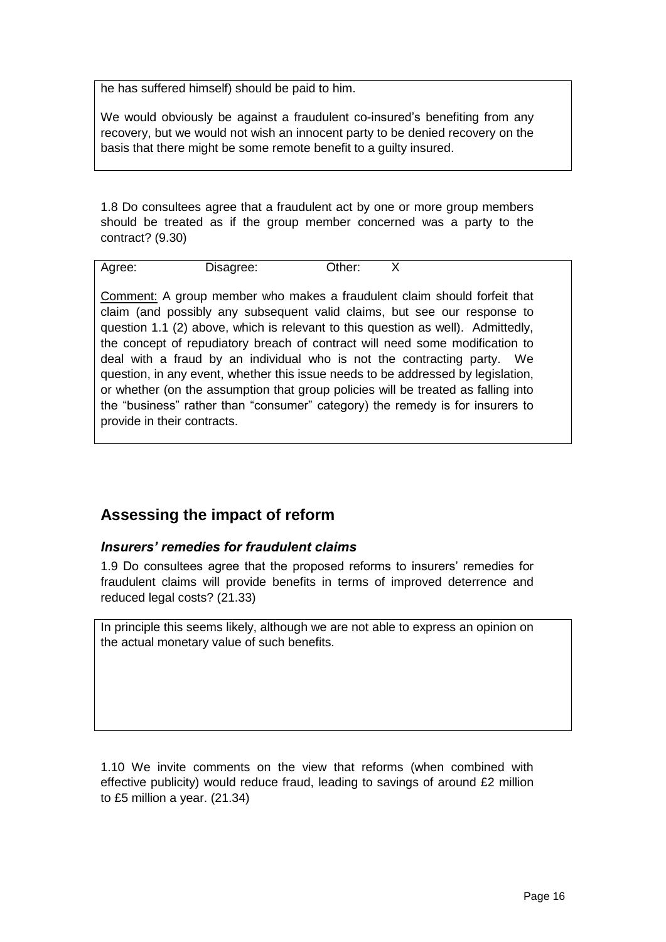he has suffered himself) should be paid to him.

We would obviously be against a fraudulent co-insured's benefiting from any recovery, but we would not wish an innocent party to be denied recovery on the basis that there might be some remote benefit to a guilty insured.

1.8 Do consultees agree that a fraudulent act by one or more group members should be treated as if the group member concerned was a party to the contract? (9.30)

| Agree: | Disagree: | Other: |  |
|--------|-----------|--------|--|
|        |           |        |  |

Comment: A group member who makes a fraudulent claim should forfeit that claim (and possibly any subsequent valid claims, but see our response to question 1.1 (2) above, which is relevant to this question as well). Admittedly, the concept of repudiatory breach of contract will need some modification to deal with a fraud by an individual who is not the contracting party. We question, in any event, whether this issue needs to be addressed by legislation, or whether (on the assumption that group policies will be treated as falling into the "business" rather than "consumer" category) the remedy is for insurers to provide in their contracts.

# **Assessing the impact of reform**

## *Insurers' remedies for fraudulent claims*

1.9 Do consultees agree that the proposed reforms to insurers' remedies for fraudulent claims will provide benefits in terms of improved deterrence and reduced legal costs? (21.33)

In principle this seems likely, although we are not able to express an opinion on the actual monetary value of such benefits.

1.10 We invite comments on the view that reforms (when combined with effective publicity) would reduce fraud, leading to savings of around £2 million to £5 million a year. (21.34)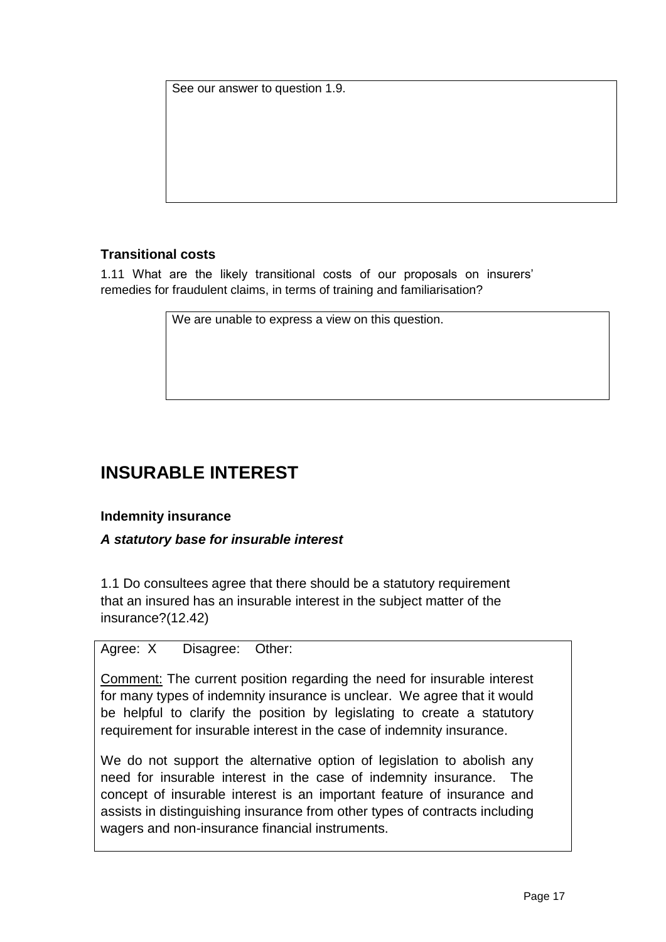See our answer to question 1.9.

## **Transitional costs**

1.11 What are the likely transitional costs of our proposals on insurers' remedies for fraudulent claims, in terms of training and familiarisation?

We are unable to express a view on this question.

# **INSURABLE INTEREST**

## **Indemnity insurance**

## *A statutory base for insurable interest*

1.1 Do consultees agree that there should be a statutory requirement that an insured has an insurable interest in the subject matter of the insurance?(12.42)

## Agree: X Disagree: Other:

Comment: The current position regarding the need for insurable interest for many types of indemnity insurance is unclear. We agree that it would be helpful to clarify the position by legislating to create a statutory requirement for insurable interest in the case of indemnity insurance.

We do not support the alternative option of legislation to abolish any need for insurable interest in the case of indemnity insurance. The concept of insurable interest is an important feature of insurance and assists in distinguishing insurance from other types of contracts including wagers and non-insurance financial instruments.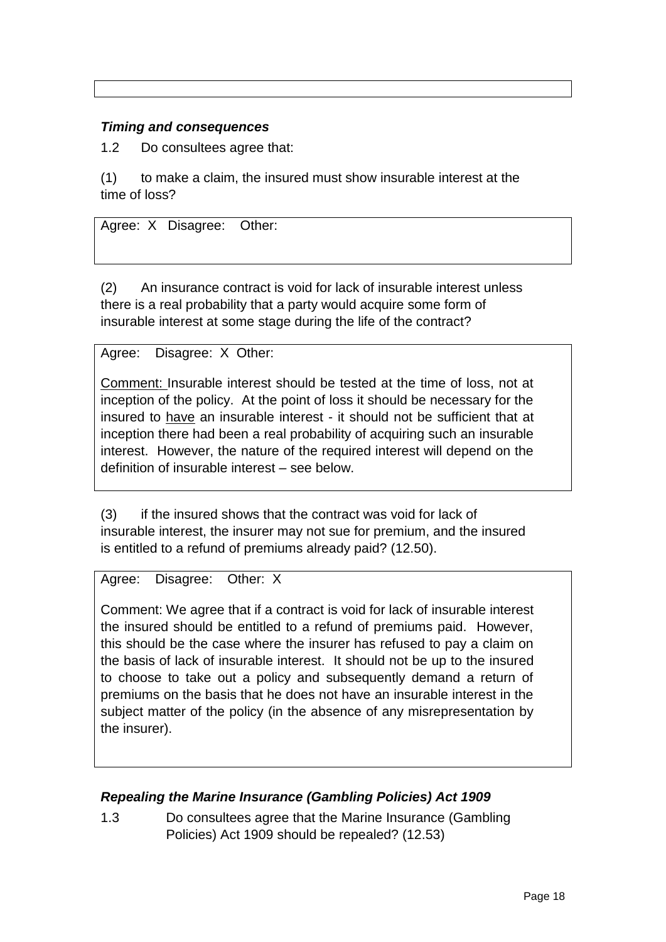## *Timing and consequences*

1.2 Do consultees agree that:

(1) to make a claim, the insured must show insurable interest at the time of loss?

Agree: X Disagree: Other:

(2) An insurance contract is void for lack of insurable interest unless there is a real probability that a party would acquire some form of insurable interest at some stage during the life of the contract?

Agree: Disagree: X Other:

Comment: Insurable interest should be tested at the time of loss, not at inception of the policy. At the point of loss it should be necessary for the insured to have an insurable interest - it should not be sufficient that at inception there had been a real probability of acquiring such an insurable interest. However, the nature of the required interest will depend on the definition of insurable interest – see below.

(3) if the insured shows that the contract was void for lack of insurable interest, the insurer may not sue for premium, and the insured is entitled to a refund of premiums already paid? (12.50).

Agree: Disagree: Other: X

Comment: We agree that if a contract is void for lack of insurable interest the insured should be entitled to a refund of premiums paid. However, this should be the case where the insurer has refused to pay a claim on the basis of lack of insurable interest. It should not be up to the insured to choose to take out a policy and subsequently demand a return of premiums on the basis that he does not have an insurable interest in the subject matter of the policy (in the absence of any misrepresentation by the insurer).

## *Repealing the Marine Insurance (Gambling Policies) Act 1909*

1.3 Do consultees agree that the Marine Insurance (Gambling Policies) Act 1909 should be repealed? (12.53)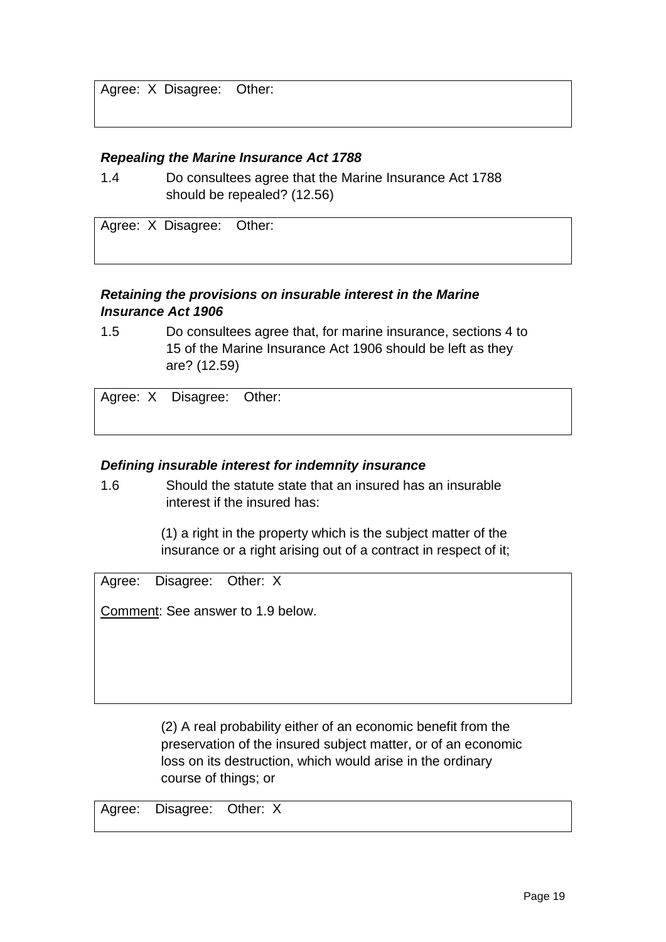Agree: X Disagree: Other:

### *Repealing the Marine Insurance Act 1788*

1.4 Do consultees agree that the Marine Insurance Act 1788 should be repealed? (12.56)

Agree: X Disagree: Other:

## *Retaining the provisions on insurable interest in the Marine Insurance Act 1906*

1.5 Do consultees agree that, for marine insurance, sections 4 to 15 of the Marine Insurance Act 1906 should be left as they are? (12.59)

Agree: X Disagree: Other:

## *Defining insurable interest for indemnity insurance*

1.6 Should the statute state that an insured has an insurable interest if the insured has:

> (1) a right in the property which is the subject matter of the insurance or a right arising out of a contract in respect of it;

Agree: Disagree: Other: X

Comment: See answer to 1.9 below.

(2) A real probability either of an economic benefit from the preservation of the insured subject matter, or of an economic loss on its destruction, which would arise in the ordinary course of things; or

Agree: Disagree: Other: X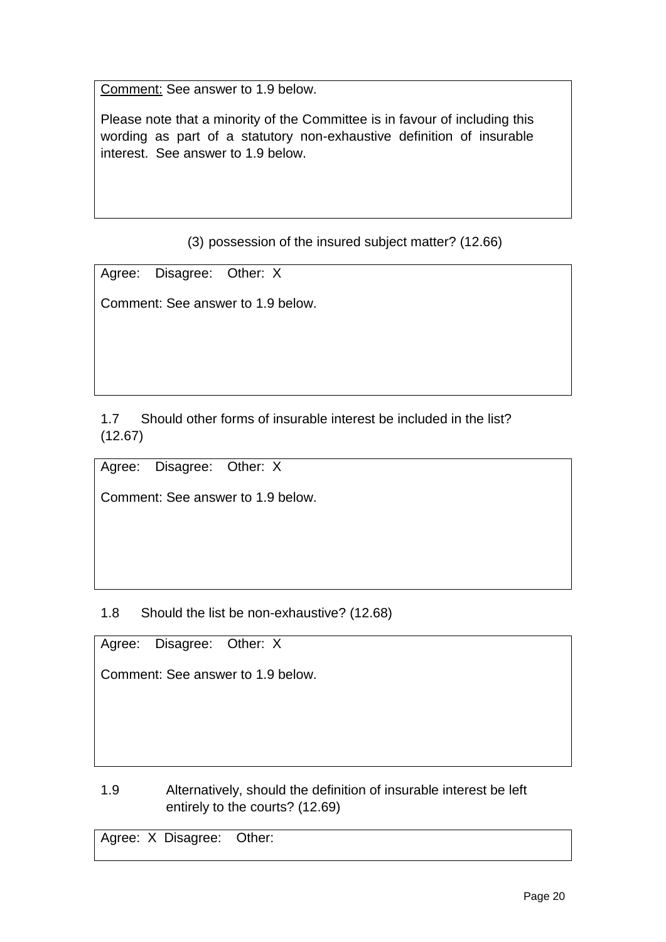Comment: See answer to 1.9 below.

Please note that a minority of the Committee is in favour of including this wording as part of a statutory non-exhaustive definition of insurable interest. See answer to 1.9 below.

(3) possession of the insured subject matter? (12.66)

Agree: Disagree: Other: X

Comment: See answer to 1.9 below.

1.7 Should other forms of insurable interest be included in the list? (12.67)

Agree: Disagree: Other: X

Comment: See answer to 1.9 below.

1.8 Should the list be non-exhaustive? (12.68)

Agree: Disagree: Other: X

Comment: See answer to 1.9 below.

1.9 Alternatively, should the definition of insurable interest be left entirely to the courts? (12.69)

Agree: X Disagree: Other: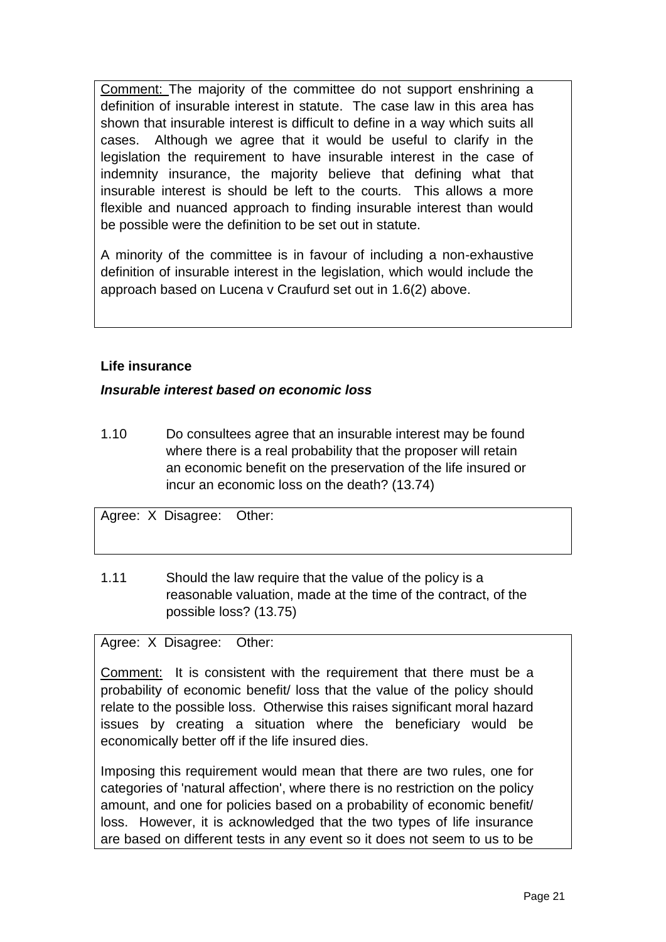Comment: The majority of the committee do not support enshrining a definition of insurable interest in statute. The case law in this area has shown that insurable interest is difficult to define in a way which suits all cases. Although we agree that it would be useful to clarify in the legislation the requirement to have insurable interest in the case of indemnity insurance, the majority believe that defining what that insurable interest is should be left to the courts. This allows a more flexible and nuanced approach to finding insurable interest than would be possible were the definition to be set out in statute.

A minority of the committee is in favour of including a non-exhaustive definition of insurable interest in the legislation, which would include the approach based on Lucena v Craufurd set out in 1.6(2) above.

## **Life insurance**

## *Insurable interest based on economic loss*

1.10 Do consultees agree that an insurable interest may be found where there is a real probability that the proposer will retain an economic benefit on the preservation of the life insured or incur an economic loss on the death? (13.74)

Agree: X Disagree: Other:

1.11 Should the law require that the value of the policy is a reasonable valuation, made at the time of the contract, of the possible loss? (13.75)

## Agree: X Disagree: Other:

Comment: It is consistent with the requirement that there must be a probability of economic benefit/ loss that the value of the policy should relate to the possible loss. Otherwise this raises significant moral hazard issues by creating a situation where the beneficiary would be economically better off if the life insured dies.

Imposing this requirement would mean that there are two rules, one for categories of 'natural affection', where there is no restriction on the policy amount, and one for policies based on a probability of economic benefit/ loss. However, it is acknowledged that the two types of life insurance are based on different tests in any event so it does not seem to us to be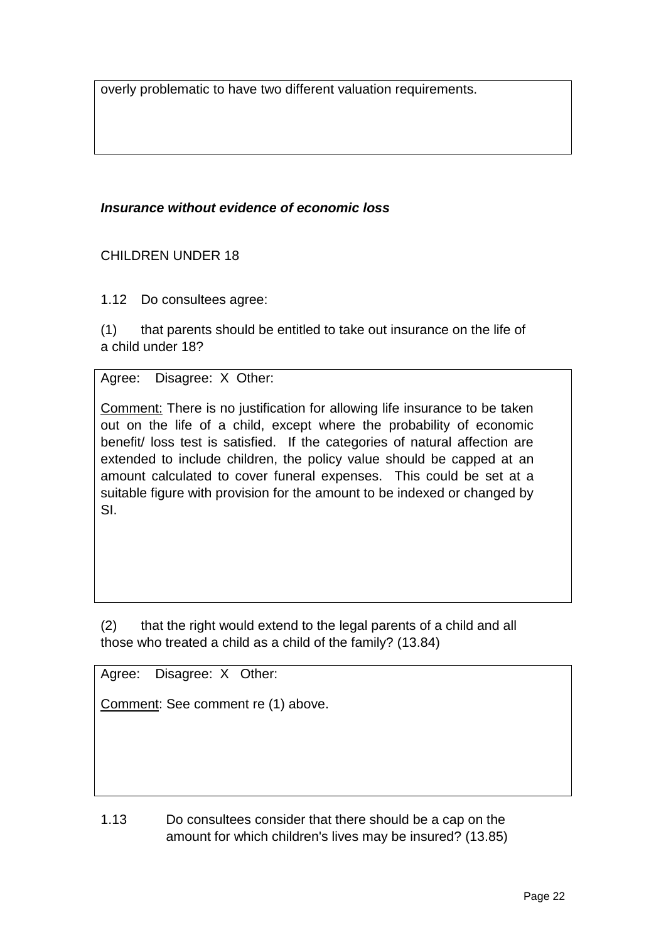overly problematic to have two different valuation requirements.

## *Insurance without evidence of economic loss*

## CHILDREN UNDER 18

1.12 Do consultees agree:

(1) that parents should be entitled to take out insurance on the life of a child under 18?

## Agree: Disagree: X Other:

Comment: There is no justification for allowing life insurance to be taken out on the life of a child, except where the probability of economic benefit/ loss test is satisfied. If the categories of natural affection are extended to include children, the policy value should be capped at an amount calculated to cover funeral expenses. This could be set at a suitable figure with provision for the amount to be indexed or changed by SI.

(2) that the right would extend to the legal parents of a child and all those who treated a child as a child of the family? (13.84)

Agree: Disagree: X Other:

Comment: See comment re (1) above.

1.13 Do consultees consider that there should be a cap on the amount for which children's lives may be insured? (13.85)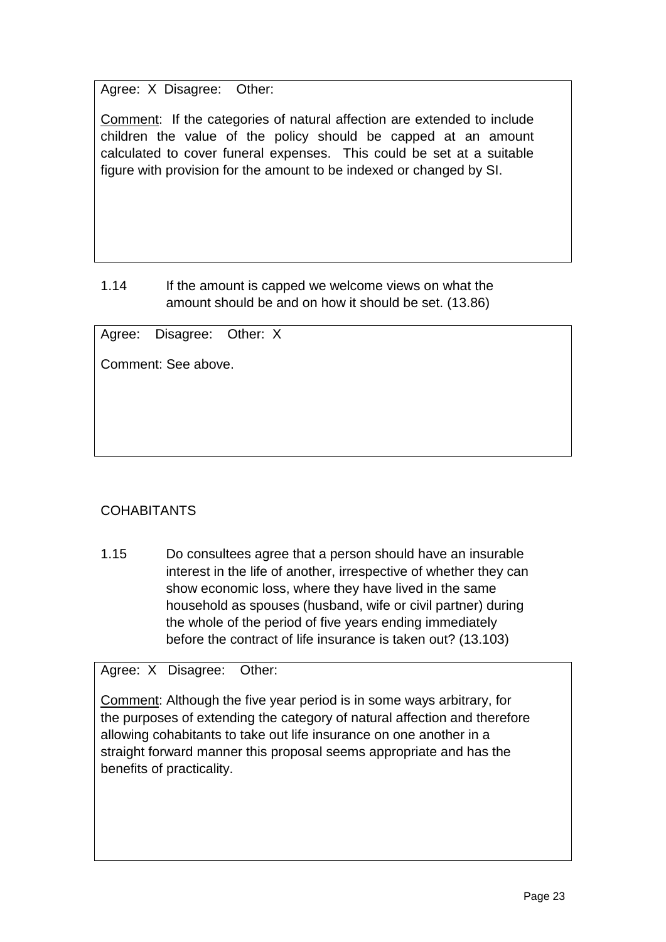Agree: X Disagree: Other:

Comment: If the categories of natural affection are extended to include children the value of the policy should be capped at an amount calculated to cover funeral expenses. This could be set at a suitable figure with provision for the amount to be indexed or changed by SI.

## 1.14 If the amount is capped we welcome views on what the amount should be and on how it should be set. (13.86)

Agree: Disagree: Other: X

Comment: See above.

# COHABITANTS

1.15 Do consultees agree that a person should have an insurable interest in the life of another, irrespective of whether they can show economic loss, where they have lived in the same household as spouses (husband, wife or civil partner) during the whole of the period of five years ending immediately before the contract of life insurance is taken out? (13.103)

Agree: X Disagree: Other:

Comment: Although the five year period is in some ways arbitrary, for the purposes of extending the category of natural affection and therefore allowing cohabitants to take out life insurance on one another in a straight forward manner this proposal seems appropriate and has the benefits of practicality.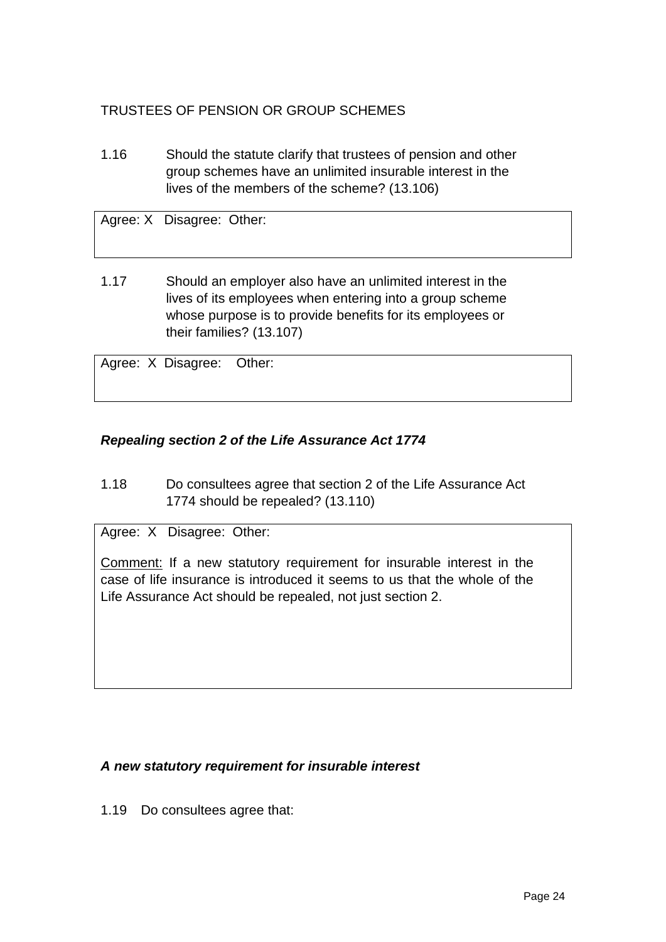# TRUSTEES OF PENSION OR GROUP SCHEMES

1.16 Should the statute clarify that trustees of pension and other group schemes have an unlimited insurable interest in the lives of the members of the scheme? (13.106)

Agree: X Disagree: Other:

1.17 Should an employer also have an unlimited interest in the lives of its employees when entering into a group scheme whose purpose is to provide benefits for its employees or their families? (13.107)

Agree: X Disagree: Other:

## *Repealing section 2 of the Life Assurance Act 1774*

1.18 Do consultees agree that section 2 of the Life Assurance Act 1774 should be repealed? (13.110)

Agree: X Disagree: Other:

Comment: If a new statutory requirement for insurable interest in the case of life insurance is introduced it seems to us that the whole of the Life Assurance Act should be repealed, not just section 2.

## *A new statutory requirement for insurable interest*

1.19 Do consultees agree that: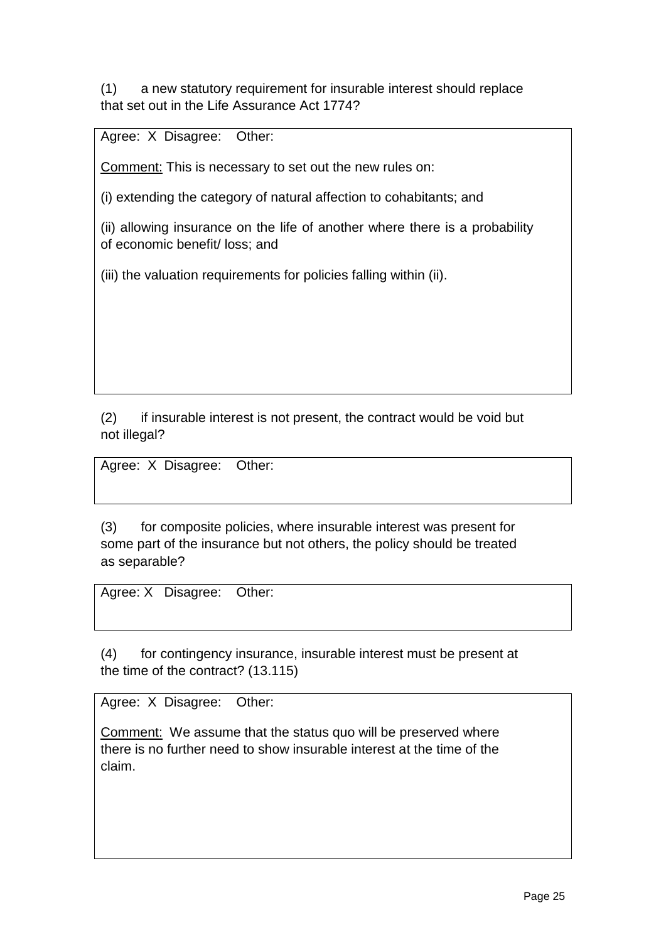(1) a new statutory requirement for insurable interest should replace that set out in the Life Assurance Act 1774?

Agree: X Disagree: Other:

Comment: This is necessary to set out the new rules on:

(i) extending the category of natural affection to cohabitants; and

(ii) allowing insurance on the life of another where there is a probability of economic benefit/ loss; and

(iii) the valuation requirements for policies falling within (ii).

(2) if insurable interest is not present, the contract would be void but not illegal?

Agree: X Disagree: Other:

(3) for composite policies, where insurable interest was present for some part of the insurance but not others, the policy should be treated as separable?

Agree: X Disagree: Other:

(4) for contingency insurance, insurable interest must be present at the time of the contract? (13.115)

Agree: X Disagree: Other:

Comment: We assume that the status quo will be preserved where there is no further need to show insurable interest at the time of the claim.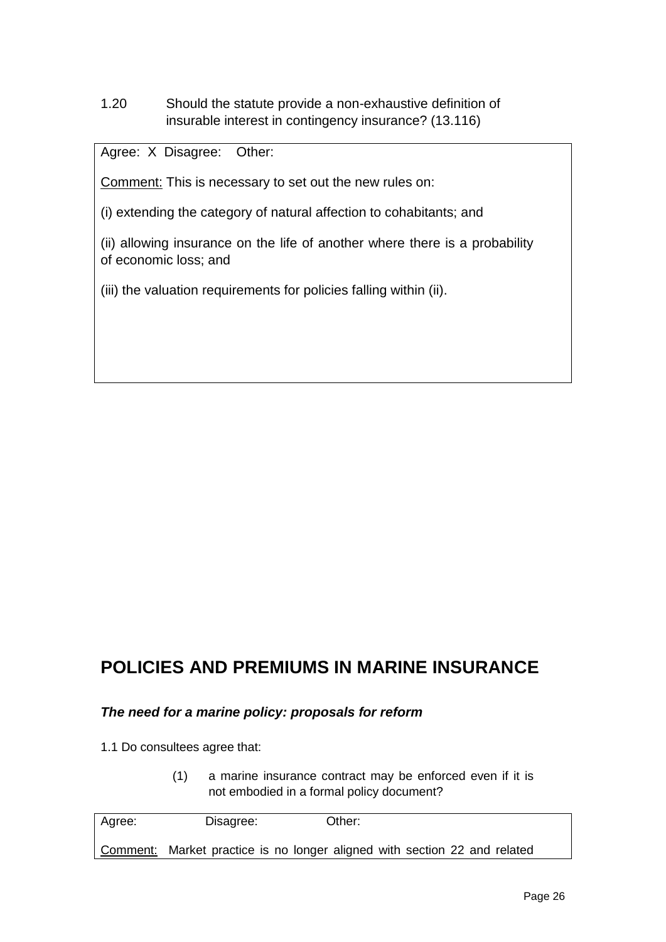1.20 Should the statute provide a non-exhaustive definition of insurable interest in contingency insurance? (13.116)

Agree: X Disagree: Other:

Comment: This is necessary to set out the new rules on:

(i) extending the category of natural affection to cohabitants; and

(ii) allowing insurance on the life of another where there is a probability of economic loss; and

(iii) the valuation requirements for policies falling within (ii).

# **POLICIES AND PREMIUMS IN MARINE INSURANCE**

### *The need for a marine policy: proposals for reform*

1.1 Do consultees agree that:

(1) a marine insurance contract may be enforced even if it is not embodied in a formal policy document?

| Agree: | Disagree: | Other:                                                                    |
|--------|-----------|---------------------------------------------------------------------------|
|        |           | Comment: Market practice is no longer aligned with section 22 and related |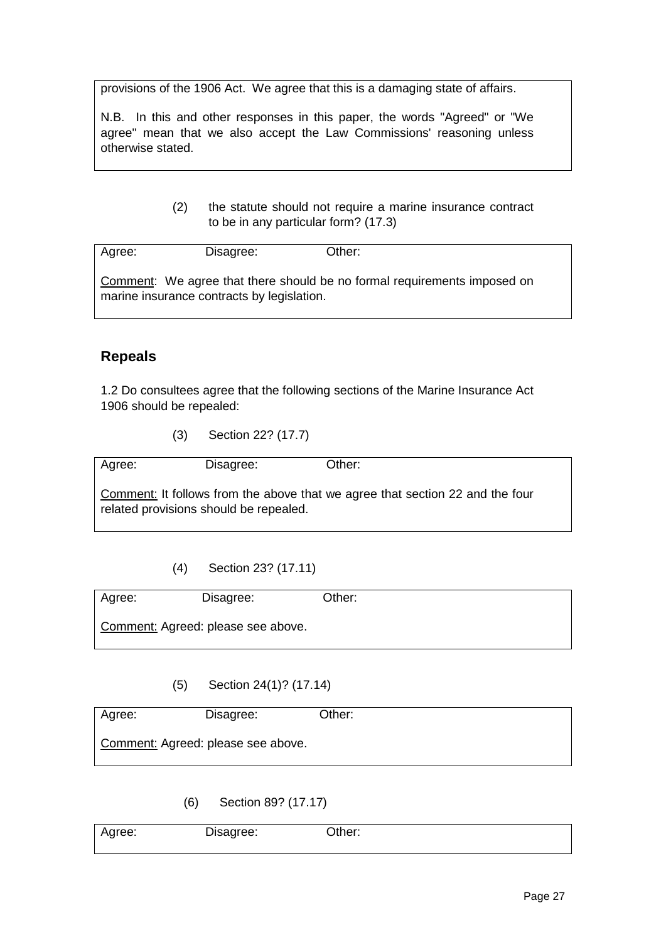provisions of the 1906 Act. We agree that this is a damaging state of affairs.

N.B. In this and other responses in this paper, the words "Agreed" or "We agree" mean that we also accept the Law Commissions' reasoning unless otherwise stated.

> (2) the statute should not require a marine insurance contract to be in any particular form? (17.3)

Agree: Disagree: Other: Comment: We agree that there should be no formal requirements imposed on marine insurance contracts by legislation.

## **Repeals**

1.2 Do consultees agree that the following sections of the Marine Insurance Act 1906 should be repealed:

(3) Section 22? (17.7)

Agree: Disagree: Other:

Comment: It follows from the above that we agree that section 22 and the four related provisions should be repealed.

(4) Section 23? (17.11)

Agree: Disagree: Other: Comment: Agreed: please see above.

(5) Section 24(1)? (17.14)

| Agree: | Disagree:                          | Other: |  |
|--------|------------------------------------|--------|--|
|        | Comment: Agreed: please see above. |        |  |

(6) Section 89? (17.17)

| Agree: | Disagree: | Jther: |  |
|--------|-----------|--------|--|
|        |           |        |  |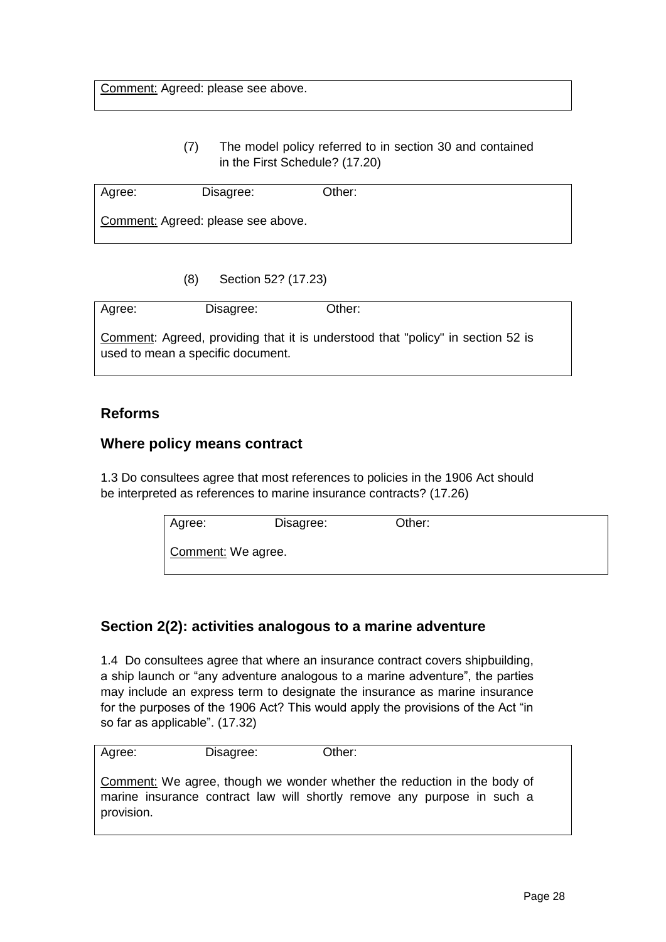## (7) The model policy referred to in section 30 and contained in the First Schedule? (17.20)

| Agree: | Disagree:                          | Other: |  |
|--------|------------------------------------|--------|--|
|        | Comment: Agreed: please see above. |        |  |

(8) Section 52? (17.23)

| Agree:                            | Disagree: | Other:                                                                          |
|-----------------------------------|-----------|---------------------------------------------------------------------------------|
| used to mean a specific document. |           | Comment: Agreed, providing that it is understood that "policy" in section 52 is |

## **Reforms**

## **Where policy means contract**

1.3 Do consultees agree that most references to policies in the 1906 Act should be interpreted as references to marine insurance contracts? (17.26)

| Agree:             | Disagree: | Other: |  |
|--------------------|-----------|--------|--|
| Comment: We agree. |           |        |  |

# **Section 2(2): activities analogous to a marine adventure**

1.4 Do consultees agree that where an insurance contract covers shipbuilding, a ship launch or "any adventure analogous to a marine adventure", the parties may include an express term to designate the insurance as marine insurance for the purposes of the 1906 Act? This would apply the provisions of the Act "in so far as applicable". (17.32)

| Other:                                                                                                                                              |
|-----------------------------------------------------------------------------------------------------------------------------------------------------|
|                                                                                                                                                     |
| Comment: We agree, though we wonder whether the reduction in the body of<br>marine insurance contract law will shortly remove any purpose in such a |
|                                                                                                                                                     |
| Disagree:                                                                                                                                           |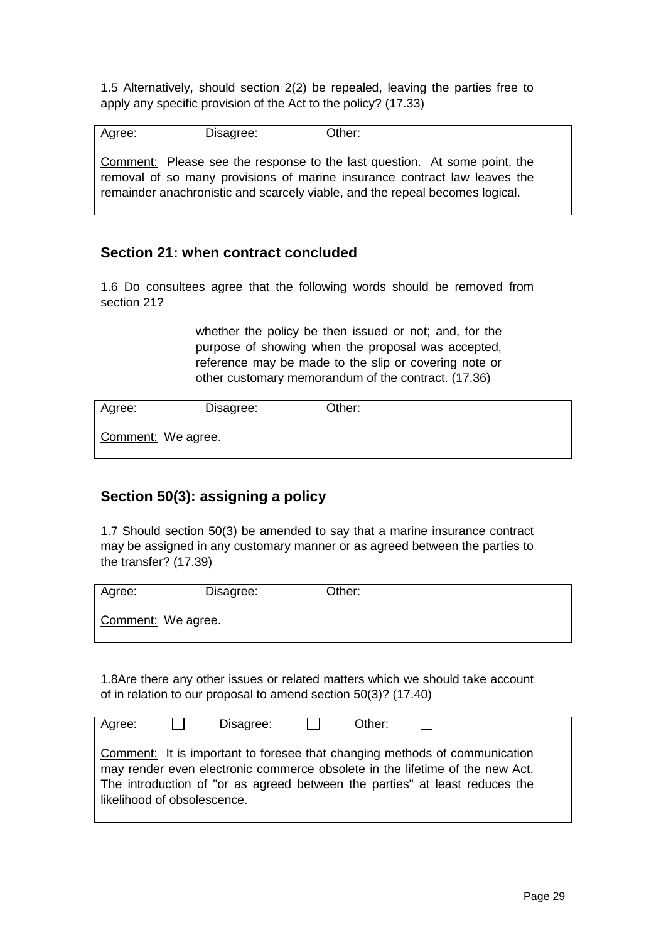1.5 Alternatively, should section 2(2) be repealed, leaving the parties free to apply any specific provision of the Act to the policy? (17.33)

Agree: Disagree: Other: Comment: Please see the response to the last question. At some point, the removal of so many provisions of marine insurance contract law leaves the remainder anachronistic and scarcely viable, and the repeal becomes logical.

## **Section 21: when contract concluded**

1.6 Do consultees agree that the following words should be removed from section 21?

> whether the policy be then issued or not; and, for the purpose of showing when the proposal was accepted, reference may be made to the slip or covering note or other customary memorandum of the contract. (17.36)

| Agree:             | Disagree: | Other: |  |
|--------------------|-----------|--------|--|
| Comment: We agree. |           |        |  |

## **Section 50(3): assigning a policy**

1.7 Should section 50(3) be amended to say that a marine insurance contract may be assigned in any customary manner or as agreed between the parties to the transfer? (17.39)

| Agree:             | Disagree: | Other: |  |
|--------------------|-----------|--------|--|
| Comment: We agree. |           |        |  |

1.8Are there any other issues or related matters which we should take account of in relation to our proposal to amend section 50(3)? (17.40)

| Agree:                      | Disagree: | Other: |                                                                                                                                                                                                                                           |
|-----------------------------|-----------|--------|-------------------------------------------------------------------------------------------------------------------------------------------------------------------------------------------------------------------------------------------|
| likelihood of obsolescence. |           |        | Comment: It is important to foresee that changing methods of communication<br>may render even electronic commerce obsolete in the lifetime of the new Act.<br>The introduction of "or as agreed between the parties" at least reduces the |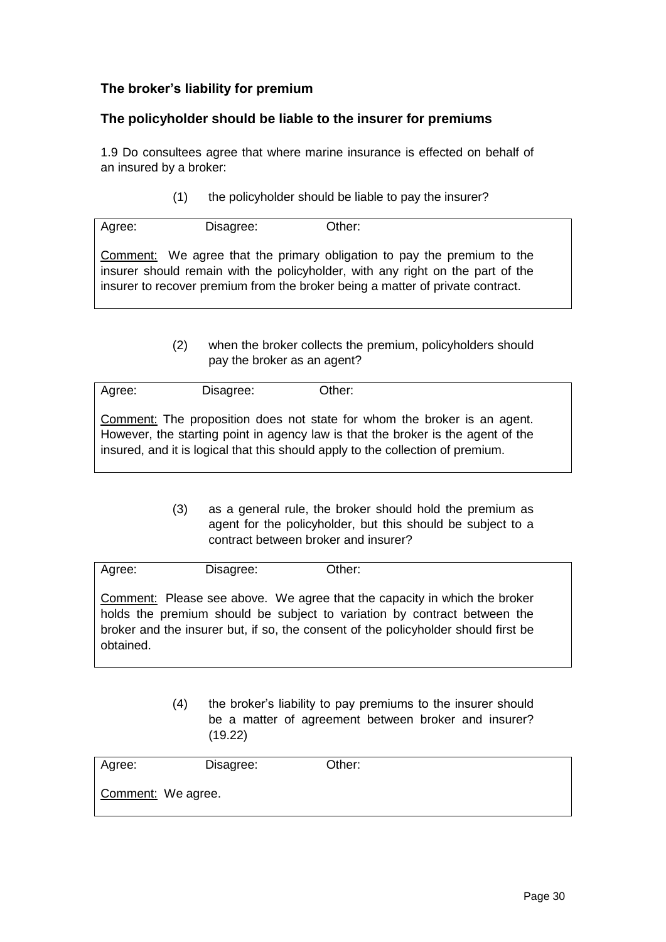## **The broker's liability for premium**

### **The policyholder should be liable to the insurer for premiums**

1.9 Do consultees agree that where marine insurance is effected on behalf of an insured by a broker:

(1) the policyholder should be liable to pay the insurer?

| Agree: | Disagree: | Other:                                                                         |
|--------|-----------|--------------------------------------------------------------------------------|
|        |           |                                                                                |
|        |           |                                                                                |
|        |           | Comment: We agree that the primary obligation to pay the premium to the        |
|        |           |                                                                                |
|        |           | insurer should remain with the policyholder, with any right on the part of the |
|        |           |                                                                                |
|        |           | insurer to recover premium from the broker being a matter of private contract. |
|        |           |                                                                                |

(2) when the broker collects the premium, policyholders should pay the broker as an agent?

| Agree: | Disagree: | Other:                                                                           |
|--------|-----------|----------------------------------------------------------------------------------|
|        |           |                                                                                  |
|        |           |                                                                                  |
|        |           |                                                                                  |
|        |           | Comment: The proposition does not state for whom the broker is an agent.         |
|        |           |                                                                                  |
|        |           | However, the starting point in agency law is that the broker is the agent of the |
|        |           |                                                                                  |
|        |           | insured, and it is logical that this should apply to the collection of premium.  |
|        |           |                                                                                  |

(3) as a general rule, the broker should hold the premium as agent for the policyholder, but this should be subject to a contract between broker and insurer?

| Agree:    | Disagree: | Other:                                                                                                                                                                                                                                      |  |
|-----------|-----------|---------------------------------------------------------------------------------------------------------------------------------------------------------------------------------------------------------------------------------------------|--|
| obtained. |           | Comment: Please see above. We agree that the capacity in which the broker<br>holds the premium should be subject to variation by contract between the<br>broker and the insurer but, if so, the consent of the policyholder should first be |  |

(4) the broker's liability to pay premiums to the insurer should be a matter of agreement between broker and insurer? (19.22)

| Agree:             | Disagree: | Other: |  |
|--------------------|-----------|--------|--|
| Comment: We agree. |           |        |  |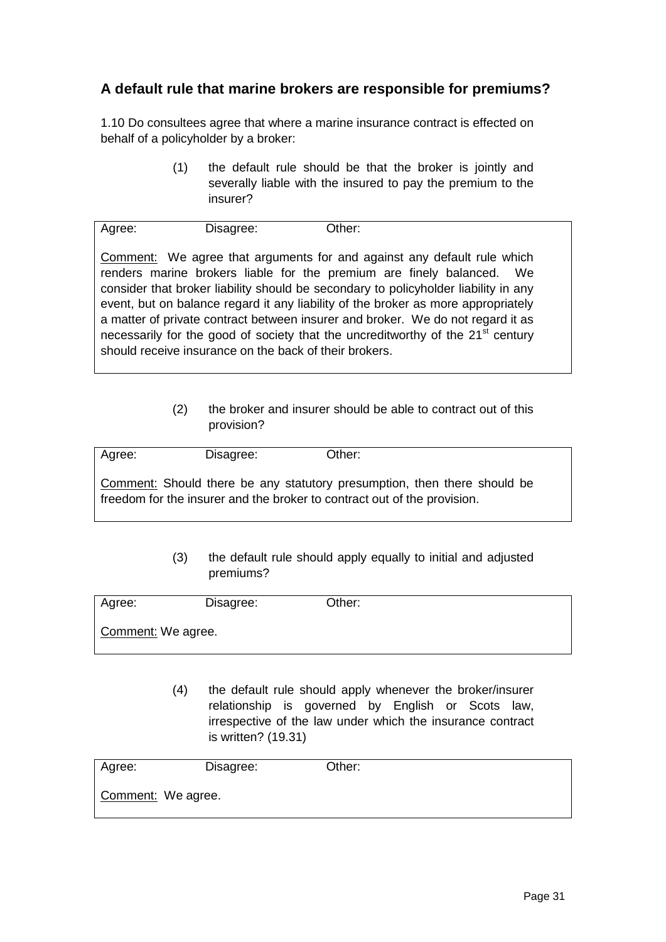# **A default rule that marine brokers are responsible for premiums?**

1.10 Do consultees agree that where a marine insurance contract is effected on behalf of a policyholder by a broker:

> (1) the default rule should be that the broker is jointly and severally liable with the insured to pay the premium to the insurer?

| Agree: | Disagree:                                              | Other:                                                                                      |  |
|--------|--------------------------------------------------------|---------------------------------------------------------------------------------------------|--|
|        |                                                        |                                                                                             |  |
|        |                                                        | <b>Comment:</b> We agree that arguments for and against any default rule which              |  |
|        |                                                        | renders marine brokers liable for the premium are finely balanced. We                       |  |
|        |                                                        | consider that broker liability should be secondary to policyholder liability in any         |  |
|        |                                                        | event, but on balance regard it any liability of the broker as more appropriately           |  |
|        |                                                        | a matter of private contract between insurer and broker. We do not regard it as             |  |
|        |                                                        | necessarily for the good of society that the uncreditworthy of the 21 <sup>st</sup> century |  |
|        | should receive insurance on the back of their brokers. |                                                                                             |  |

(2) the broker and insurer should be able to contract out of this provision?

| Agree: | Disagree: | Other:                                                                                                                                               |
|--------|-----------|------------------------------------------------------------------------------------------------------------------------------------------------------|
|        |           | Comment: Should there be any statutory presumption, then there should be<br>freedom for the insurer and the broker to contract out of the provision. |

(3) the default rule should apply equally to initial and adjusted premiums?

| Agree:             | Disagree: | Other: |  |
|--------------------|-----------|--------|--|
| Comment: We agree. |           |        |  |

(4) the default rule should apply whenever the broker/insurer relationship is governed by English or Scots law, irrespective of the law under which the insurance contract is written? (19.31)

| Agree:             | Disagree: | Other: |  |
|--------------------|-----------|--------|--|
| Comment: We agree. |           |        |  |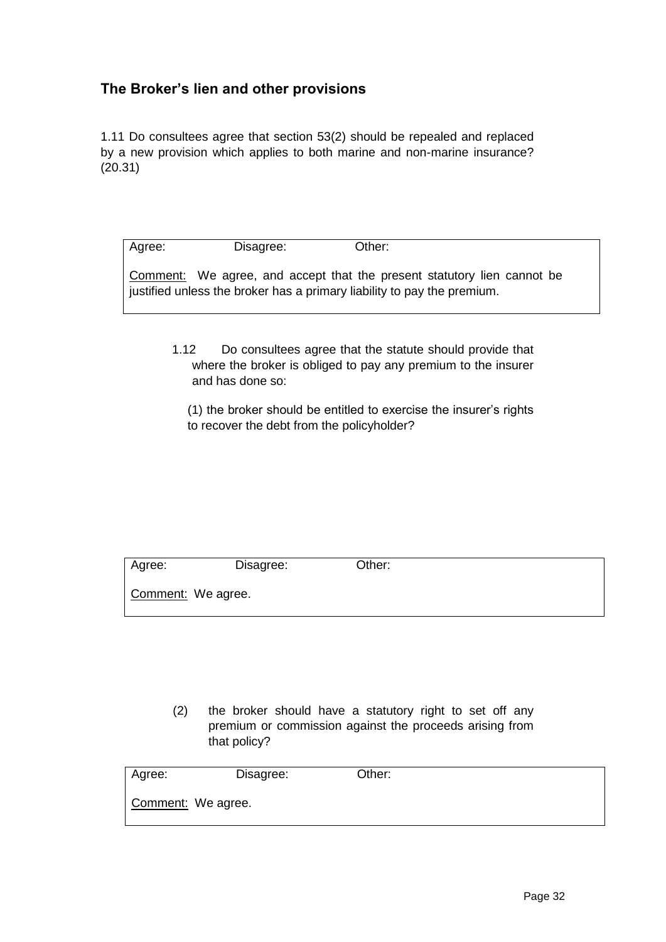## **The Broker's lien and other provisions**

1.11 Do consultees agree that section 53(2) should be repealed and replaced by a new provision which applies to both marine and non-marine insurance? (20.31)

| Agree: | Disagree: | Other:                                                                                                                                                    |
|--------|-----------|-----------------------------------------------------------------------------------------------------------------------------------------------------------|
|        |           | <b>Comment:</b> We agree, and accept that the present statutory lien cannot be<br>justified unless the broker has a primary liability to pay the premium. |
|        |           |                                                                                                                                                           |

1.12 Do consultees agree that the statute should provide that where the broker is obliged to pay any premium to the insurer and has done so:

(1) the broker should be entitled to exercise the insurer's rights to recover the debt from the policyholder?

| Agree:             | Disagree: | Other: |  |
|--------------------|-----------|--------|--|
| Comment: We agree. |           |        |  |

(2) the broker should have a statutory right to set off any premium or commission against the proceeds arising from that policy?

| Agree:             | Disagree: | Other: |  |
|--------------------|-----------|--------|--|
| Comment: We agree. |           |        |  |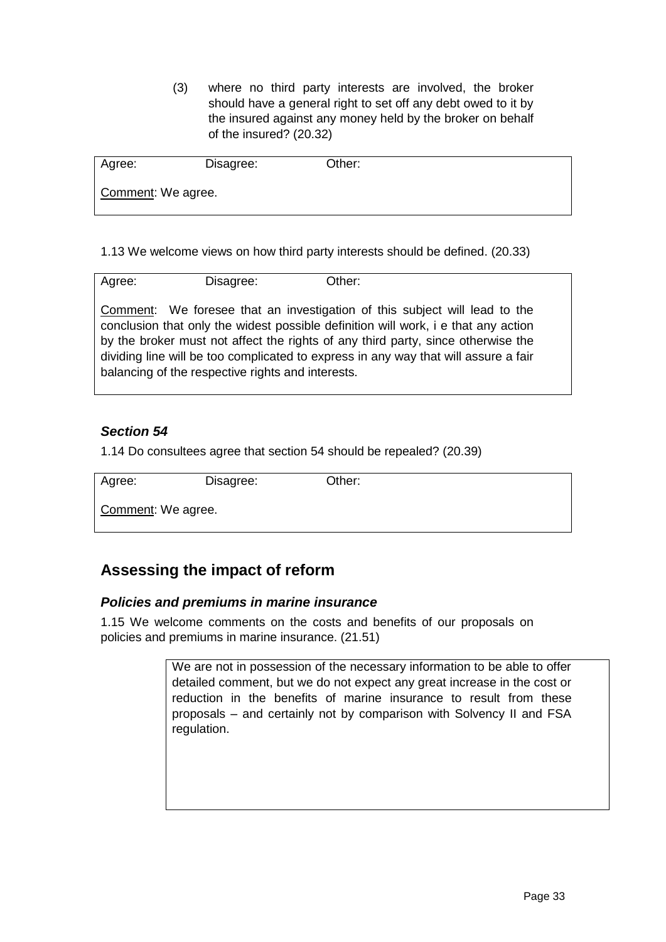(3) where no third party interests are involved, the broker should have a general right to set off any debt owed to it by the insured against any money held by the broker on behalf of the insured? (20.32)

| Agree:             | Disagree: | Other: |  |
|--------------------|-----------|--------|--|
| Comment: We agree. |           |        |  |

1.13 We welcome views on how third party interests should be defined. (20.33)

| Agree:                                                                              | Disagree: | Other:                                                                     |  |  |
|-------------------------------------------------------------------------------------|-----------|----------------------------------------------------------------------------|--|--|
|                                                                                     |           |                                                                            |  |  |
|                                                                                     |           |                                                                            |  |  |
|                                                                                     |           |                                                                            |  |  |
|                                                                                     |           | Comment: We foresee that an investigation of this subject will lead to the |  |  |
| conclusion that only the widest possible definition will work, i e that any action  |           |                                                                            |  |  |
|                                                                                     |           |                                                                            |  |  |
| by the broker must not affect the rights of any third party, since otherwise the    |           |                                                                            |  |  |
|                                                                                     |           |                                                                            |  |  |
| dividing line will be too complicated to express in any way that will assure a fair |           |                                                                            |  |  |
| balancing of the respective rights and interests.                                   |           |                                                                            |  |  |
|                                                                                     |           |                                                                            |  |  |
|                                                                                     |           |                                                                            |  |  |

## *Section 54*

1.14 Do consultees agree that section 54 should be repealed? (20.39)

Disagree: Other:

Comment: We agree.

# **Assessing the impact of reform**

## *Policies and premiums in marine insurance*

1.15 We welcome comments on the costs and benefits of our proposals on policies and premiums in marine insurance. (21.51)

> We are not in possession of the necessary information to be able to offer detailed comment, but we do not expect any great increase in the cost or reduction in the benefits of marine insurance to result from these proposals – and certainly not by comparison with Solvency II and FSA regulation.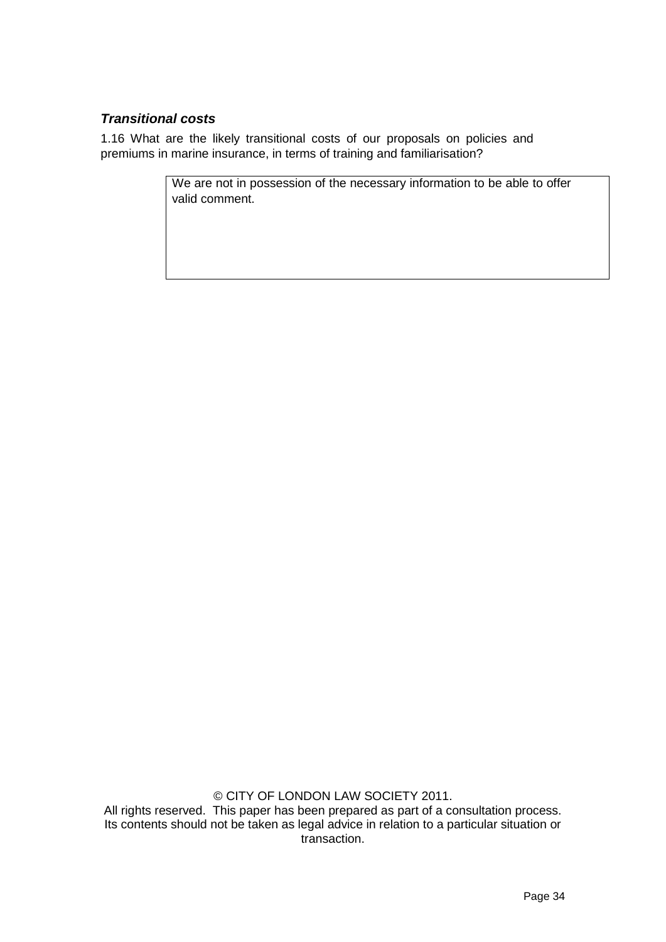## *Transitional costs*

1.16 What are the likely transitional costs of our proposals on policies and premiums in marine insurance, in terms of training and familiarisation?

> We are not in possession of the necessary information to be able to offer valid comment.

© CITY OF LONDON LAW SOCIETY 2011. All rights reserved. This paper has been prepared as part of a consultation process. Its contents should not be taken as legal advice in relation to a particular situation or transaction.